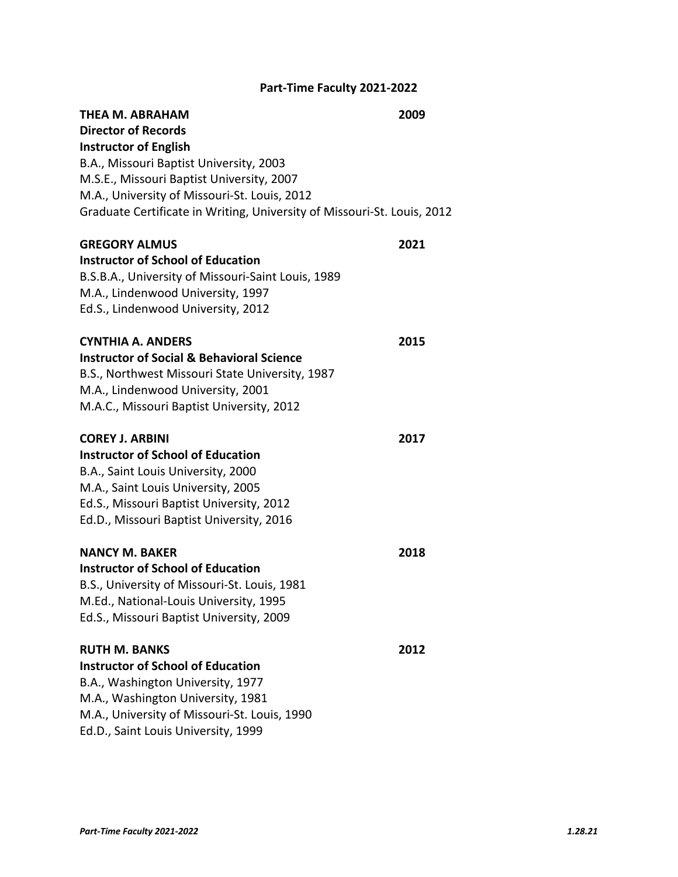# **Part‐Time Faculty 2021‐2022**

| THEA M. ABRAHAM<br><b>Director of Records</b><br><b>Instructor of English</b><br>B.A., Missouri Baptist University, 2003<br>M.S.E., Missouri Baptist University, 2007<br>M.A., University of Missouri-St. Louis, 2012<br>Graduate Certificate in Writing, University of Missouri-St. Louis, 2012 | 2009 |
|--------------------------------------------------------------------------------------------------------------------------------------------------------------------------------------------------------------------------------------------------------------------------------------------------|------|
| <b>GREGORY ALMUS</b><br><b>Instructor of School of Education</b><br>B.S.B.A., University of Missouri-Saint Louis, 1989<br>M.A., Lindenwood University, 1997<br>Ed.S., Lindenwood University, 2012                                                                                                | 2021 |
| <b>CYNTHIA A. ANDERS</b><br><b>Instructor of Social &amp; Behavioral Science</b><br>B.S., Northwest Missouri State University, 1987<br>M.A., Lindenwood University, 2001<br>M.A.C., Missouri Baptist University, 2012                                                                            | 2015 |
| <b>COREY J. ARBINI</b><br><b>Instructor of School of Education</b><br>B.A., Saint Louis University, 2000<br>M.A., Saint Louis University, 2005<br>Ed.S., Missouri Baptist University, 2012<br>Ed.D., Missouri Baptist University, 2016                                                           | 2017 |
| <b>NANCY M. BAKER</b><br><b>Instructor of School of Education</b><br>B.S., University of Missouri-St. Louis, 1981<br>M.Ed., National-Louis University, 1995<br>Ed.S., Missouri Baptist University, 2009                                                                                          | 2018 |
| <b>RUTH M. BANKS</b><br><b>Instructor of School of Education</b><br>B.A., Washington University, 1977<br>M.A., Washington University, 1981<br>M.A., University of Missouri-St. Louis, 1990<br>Ed.D., Saint Louis University, 1999                                                                | 2012 |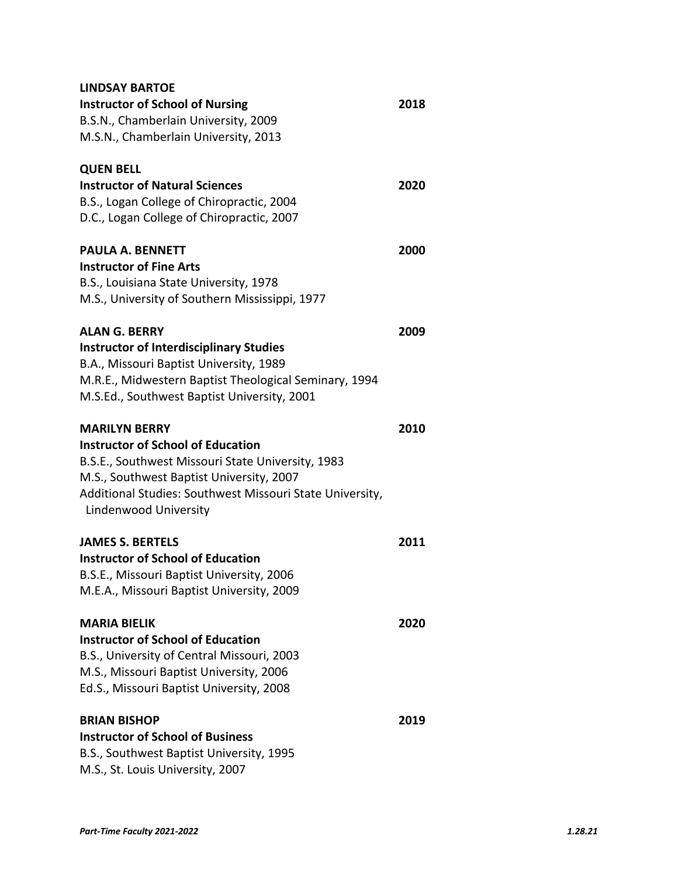| <b>LINDSAY BARTOE</b>                                    |      |
|----------------------------------------------------------|------|
| <b>Instructor of School of Nursing</b>                   | 2018 |
| B.S.N., Chamberlain University, 2009                     |      |
| M.S.N., Chamberlain University, 2013                     |      |
| <b>QUEN BELL</b>                                         |      |
| <b>Instructor of Natural Sciences</b>                    | 2020 |
| B.S., Logan College of Chiropractic, 2004                |      |
| D.C., Logan College of Chiropractic, 2007                |      |
| PAULA A. BENNETT                                         | 2000 |
| <b>Instructor of Fine Arts</b>                           |      |
| B.S., Louisiana State University, 1978                   |      |
| M.S., University of Southern Mississippi, 1977           |      |
| <b>ALAN G. BERRY</b>                                     | 2009 |
| <b>Instructor of Interdisciplinary Studies</b>           |      |
| B.A., Missouri Baptist University, 1989                  |      |
| M.R.E., Midwestern Baptist Theological Seminary, 1994    |      |
| M.S.Ed., Southwest Baptist University, 2001              |      |
| <b>MARILYN BERRY</b>                                     | 2010 |
| <b>Instructor of School of Education</b>                 |      |
| B.S.E., Southwest Missouri State University, 1983        |      |
| M.S., Southwest Baptist University, 2007                 |      |
| Additional Studies: Southwest Missouri State University, |      |
| Lindenwood University                                    |      |
| <b>JAMES S. BERTELS</b>                                  | 2011 |
| <b>Instructor of School of Education</b>                 |      |
| B.S.E., Missouri Baptist University, 2006                |      |
| M.E.A., Missouri Baptist University, 2009                |      |
| <b>MARIA BIELIK</b>                                      | 2020 |
| <b>Instructor of School of Education</b>                 |      |
| B.S., University of Central Missouri, 2003               |      |
| M.S., Missouri Baptist University, 2006                  |      |
| Ed.S., Missouri Baptist University, 2008                 |      |
| <b>BRIAN BISHOP</b>                                      | 2019 |
| <b>Instructor of School of Business</b>                  |      |
| B.S., Southwest Baptist University, 1995                 |      |
| M.S., St. Louis University, 2007                         |      |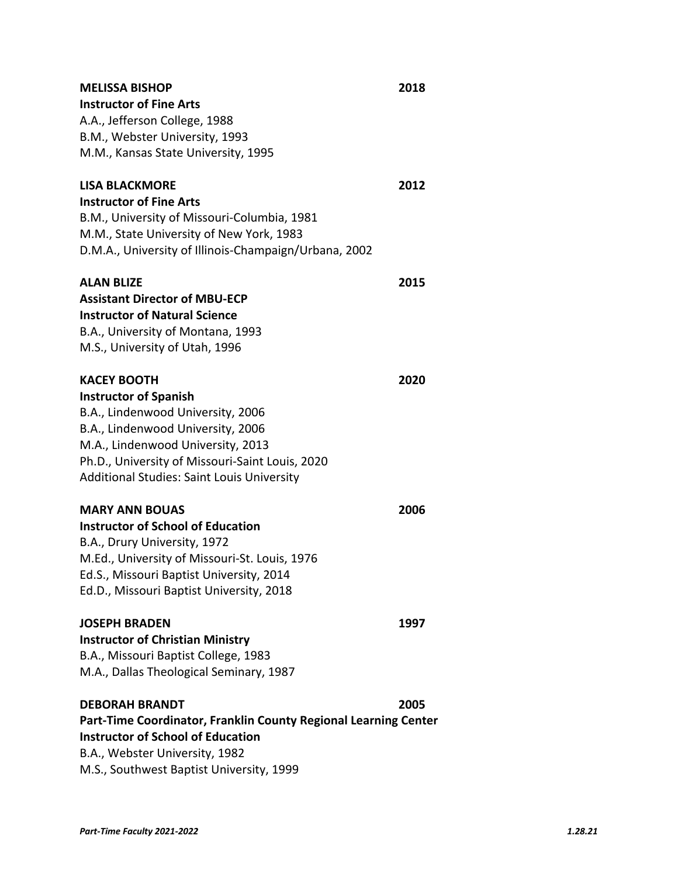| <b>MELISSA BISHOP</b>                                           | 2018 |  |
|-----------------------------------------------------------------|------|--|
| <b>Instructor of Fine Arts</b>                                  |      |  |
| A.A., Jefferson College, 1988                                   |      |  |
| B.M., Webster University, 1993                                  |      |  |
| M.M., Kansas State University, 1995                             |      |  |
| <b>LISA BLACKMORE</b>                                           | 2012 |  |
| <b>Instructor of Fine Arts</b>                                  |      |  |
| B.M., University of Missouri-Columbia, 1981                     |      |  |
| M.M., State University of New York, 1983                        |      |  |
| D.M.A., University of Illinois-Champaign/Urbana, 2002           |      |  |
| <b>ALAN BLIZE</b>                                               | 2015 |  |
| <b>Assistant Director of MBU-ECP</b>                            |      |  |
| <b>Instructor of Natural Science</b>                            |      |  |
| B.A., University of Montana, 1993                               |      |  |
| M.S., University of Utah, 1996                                  |      |  |
| <b>KACEY BOOTH</b>                                              | 2020 |  |
| <b>Instructor of Spanish</b>                                    |      |  |
| B.A., Lindenwood University, 2006                               |      |  |
| B.A., Lindenwood University, 2006                               |      |  |
| M.A., Lindenwood University, 2013                               |      |  |
| Ph.D., University of Missouri-Saint Louis, 2020                 |      |  |
| Additional Studies: Saint Louis University                      |      |  |
| <b>MARY ANN BOUAS</b>                                           | 2006 |  |
| <b>Instructor of School of Education</b>                        |      |  |
| B.A., Drury University, 1972                                    |      |  |
| M.Ed., University of Missouri-St. Louis, 1976                   |      |  |
| Ed.S., Missouri Baptist University, 2014                        |      |  |
| Ed.D., Missouri Baptist University, 2018                        |      |  |
| <b>JOSEPH BRADEN</b>                                            | 1997 |  |
| <b>Instructor of Christian Ministry</b>                         |      |  |
| B.A., Missouri Baptist College, 1983                            |      |  |
| M.A., Dallas Theological Seminary, 1987                         |      |  |
| <b>DEBORAH BRANDT</b>                                           | 2005 |  |
| Part-Time Coordinator, Franklin County Regional Learning Center |      |  |
| <b>Instructor of School of Education</b>                        |      |  |
| B.A., Webster University, 1982                                  |      |  |

M.S., Southwest Baptist University, 1999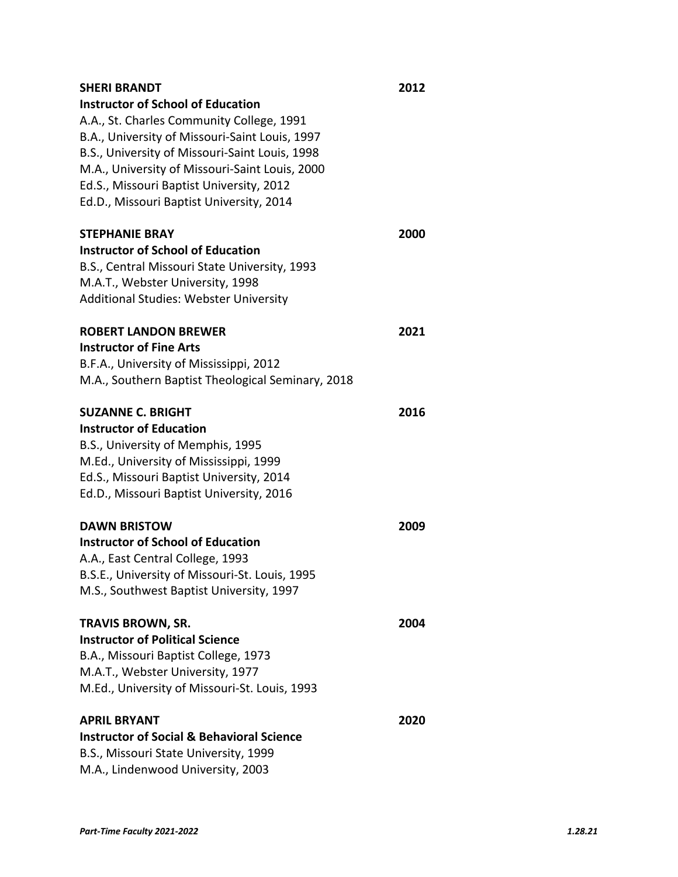| SHERI BRANDT<br><b>Instructor of School of Education</b><br>A.A., St. Charles Community College, 1991<br>B.A., University of Missouri-Saint Louis, 1997<br>B.S., University of Missouri-Saint Louis, 1998<br>M.A., University of Missouri-Saint Louis, 2000<br>Ed.S., Missouri Baptist University, 2012<br>Ed.D., Missouri Baptist University, 2014 | 2012 |
|-----------------------------------------------------------------------------------------------------------------------------------------------------------------------------------------------------------------------------------------------------------------------------------------------------------------------------------------------------|------|
| <b>STEPHANIE BRAY</b><br><b>Instructor of School of Education</b><br>B.S., Central Missouri State University, 1993<br>M.A.T., Webster University, 1998<br><b>Additional Studies: Webster University</b>                                                                                                                                             | 2000 |
| <b>ROBERT LANDON BREWER</b><br><b>Instructor of Fine Arts</b><br>B.F.A., University of Mississippi, 2012<br>M.A., Southern Baptist Theological Seminary, 2018                                                                                                                                                                                       | 2021 |
| <b>SUZANNE C. BRIGHT</b><br><b>Instructor of Education</b><br>B.S., University of Memphis, 1995<br>M.Ed., University of Mississippi, 1999<br>Ed.S., Missouri Baptist University, 2014<br>Ed.D., Missouri Baptist University, 2016                                                                                                                   | 2016 |
| <b>DAWN BRISTOW</b><br><b>Instructor of School of Education</b><br>A.A., East Central College, 1993<br>B.S.E., University of Missouri-St. Louis, 1995<br>M.S., Southwest Baptist University, 1997                                                                                                                                                   | 2009 |
| TRAVIS BROWN, SR.<br><b>Instructor of Political Science</b><br>B.A., Missouri Baptist College, 1973<br>M.A.T., Webster University, 1977<br>M.Ed., University of Missouri-St. Louis, 1993                                                                                                                                                            | 2004 |
| <b>APRIL BRYANT</b><br><b>Instructor of Social &amp; Behavioral Science</b><br>B.S., Missouri State University, 1999<br>M.A., Lindenwood University, 2003                                                                                                                                                                                           | 2020 |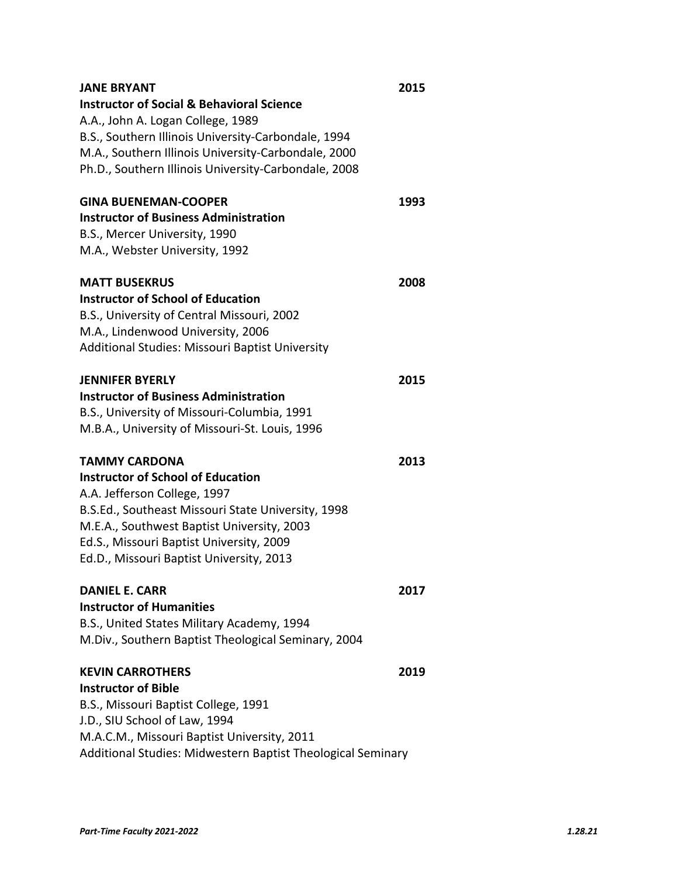| JANE BRYANT                                                 | 2015 |
|-------------------------------------------------------------|------|
| <b>Instructor of Social &amp; Behavioral Science</b>        |      |
| A.A., John A. Logan College, 1989                           |      |
| B.S., Southern Illinois University-Carbondale, 1994         |      |
| M.A., Southern Illinois University-Carbondale, 2000         |      |
| Ph.D., Southern Illinois University-Carbondale, 2008        |      |
| <b>GINA BUENEMAN-COOPER</b>                                 | 1993 |
| <b>Instructor of Business Administration</b>                |      |
| B.S., Mercer University, 1990                               |      |
| M.A., Webster University, 1992                              |      |
| <b>MATT BUSEKRUS</b>                                        | 2008 |
| <b>Instructor of School of Education</b>                    |      |
| B.S., University of Central Missouri, 2002                  |      |
| M.A., Lindenwood University, 2006                           |      |
| Additional Studies: Missouri Baptist University             |      |
| JENNIFER BYERLY                                             | 2015 |
| <b>Instructor of Business Administration</b>                |      |
| B.S., University of Missouri-Columbia, 1991                 |      |
| M.B.A., University of Missouri-St. Louis, 1996              |      |
| <b>TAMMY CARDONA</b>                                        | 2013 |
| <b>Instructor of School of Education</b>                    |      |
| A.A. Jefferson College, 1997                                |      |
| B.S.Ed., Southeast Missouri State University, 1998          |      |
| M.E.A., Southwest Baptist University, 2003                  |      |
| Ed.S., Missouri Baptist University, 2009                    |      |
| Ed.D., Missouri Baptist University, 2013                    |      |
| <b>DANIEL E. CARR</b>                                       | 2017 |
| <b>Instructor of Humanities</b>                             |      |
| B.S., United States Military Academy, 1994                  |      |
| M.Div., Southern Baptist Theological Seminary, 2004         |      |
| <b>KEVIN CARROTHERS</b>                                     | 2019 |
| <b>Instructor of Bible</b>                                  |      |
| B.S., Missouri Baptist College, 1991                        |      |
| J.D., SIU School of Law, 1994                               |      |
| M.A.C.M., Missouri Baptist University, 2011                 |      |
| Additional Studies: Midwestern Baptist Theological Seminary |      |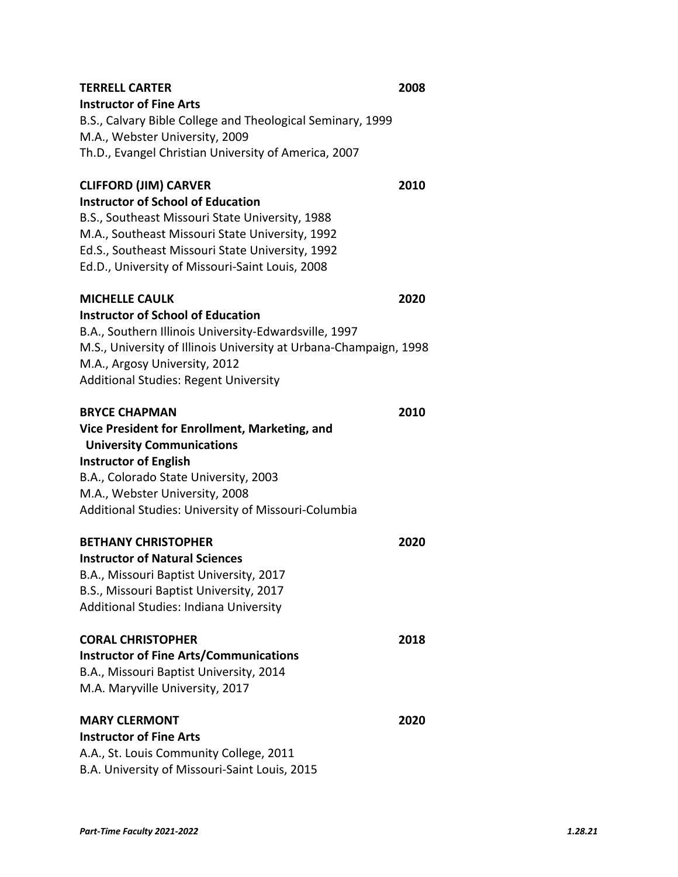| <b>TERRELL CARTER</b><br><b>Instructor of Fine Arts</b><br>B.S., Calvary Bible College and Theological Seminary, 1999<br>M.A., Webster University, 2009<br>Th.D., Evangel Christian University of America, 2007                                                                       | 2008 |
|---------------------------------------------------------------------------------------------------------------------------------------------------------------------------------------------------------------------------------------------------------------------------------------|------|
| <b>CLIFFORD (JIM) CARVER</b><br><b>Instructor of School of Education</b><br>B.S., Southeast Missouri State University, 1988<br>M.A., Southeast Missouri State University, 1992<br>Ed.S., Southeast Missouri State University, 1992<br>Ed.D., University of Missouri-Saint Louis, 2008 | 2010 |
| <b>MICHELLE CAULK</b><br><b>Instructor of School of Education</b><br>B.A., Southern Illinois University-Edwardsville, 1997<br>M.S., University of Illinois University at Urbana-Champaign, 1998<br>M.A., Argosy University, 2012<br><b>Additional Studies: Regent University</b>      | 2020 |
| <b>BRYCE CHAPMAN</b><br>Vice President for Enrollment, Marketing, and<br><b>University Communications</b><br><b>Instructor of English</b><br>B.A., Colorado State University, 2003<br>M.A., Webster University, 2008<br>Additional Studies: University of Missouri-Columbia           | 2010 |
| <b>BETHANY CHRISTOPHER</b><br><b>Instructor of Natural Sciences</b><br>B.A., Missouri Baptist University, 2017<br>B.S., Missouri Baptist University, 2017<br>Additional Studies: Indiana University                                                                                   | 2020 |
| <b>CORAL CHRISTOPHER</b><br><b>Instructor of Fine Arts/Communications</b><br>B.A., Missouri Baptist University, 2014<br>M.A. Maryville University, 2017                                                                                                                               | 2018 |
| <b>MARY CLERMONT</b><br><b>Instructor of Fine Arts</b><br>A.A., St. Louis Community College, 2011<br>B.A. University of Missouri-Saint Louis, 2015                                                                                                                                    | 2020 |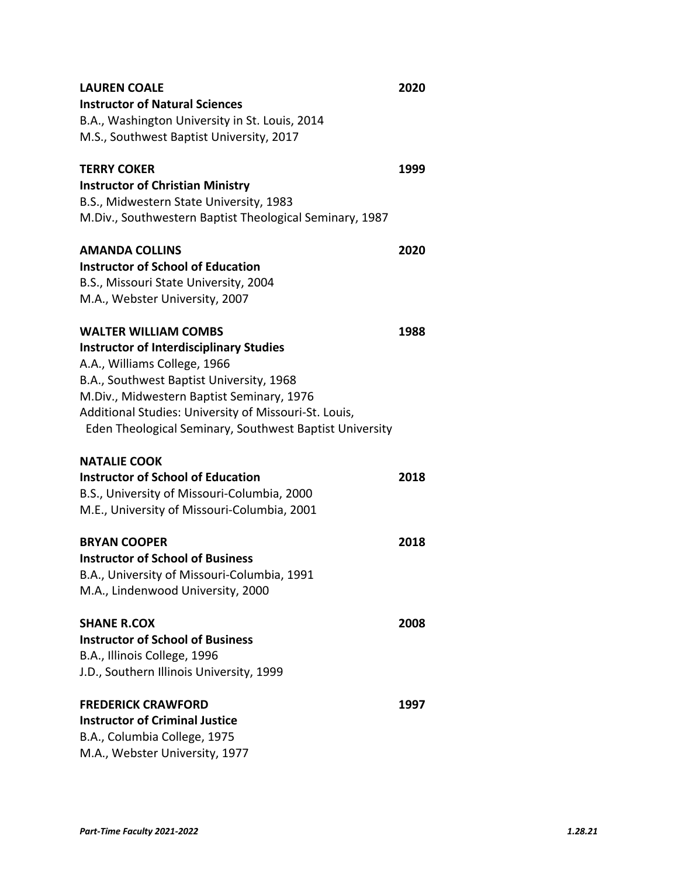| <b>LAUREN COALE</b><br><b>Instructor of Natural Sciences</b><br>B.A., Washington University in St. Louis, 2014<br>M.S., Southwest Baptist University, 2017                                                                                                                                                                 | 2020 |
|----------------------------------------------------------------------------------------------------------------------------------------------------------------------------------------------------------------------------------------------------------------------------------------------------------------------------|------|
| <b>TERRY COKER</b><br><b>Instructor of Christian Ministry</b><br>B.S., Midwestern State University, 1983<br>M.Div., Southwestern Baptist Theological Seminary, 1987                                                                                                                                                        | 1999 |
| <b>AMANDA COLLINS</b><br><b>Instructor of School of Education</b><br>B.S., Missouri State University, 2004<br>M.A., Webster University, 2007                                                                                                                                                                               | 2020 |
| <b>WALTER WILLIAM COMBS</b><br><b>Instructor of Interdisciplinary Studies</b><br>A.A., Williams College, 1966<br>B.A., Southwest Baptist University, 1968<br>M.Div., Midwestern Baptist Seminary, 1976<br>Additional Studies: University of Missouri-St. Louis,<br>Eden Theological Seminary, Southwest Baptist University | 1988 |
| <b>NATALIE COOK</b><br><b>Instructor of School of Education</b><br>B.S., University of Missouri-Columbia, 2000<br>M.E., University of Missouri-Columbia, 2001                                                                                                                                                              | 2018 |
| <b>BRYAN COOPER</b><br><b>Instructor of School of Business</b><br>B.A., University of Missouri-Columbia, 1991<br>M.A., Lindenwood University, 2000                                                                                                                                                                         | 2018 |
| <b>SHANE R.COX</b><br><b>Instructor of School of Business</b><br>B.A., Illinois College, 1996<br>J.D., Southern Illinois University, 1999                                                                                                                                                                                  | 2008 |
| <b>FREDERICK CRAWFORD</b><br><b>Instructor of Criminal Justice</b><br>B.A., Columbia College, 1975<br>M.A., Webster University, 1977                                                                                                                                                                                       | 1997 |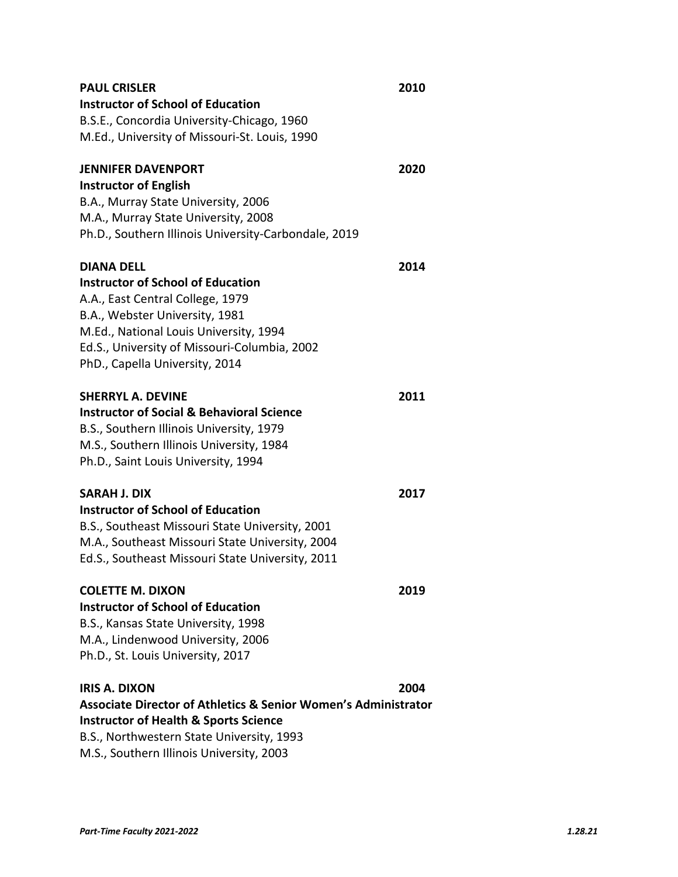| <b>PAUL CRISLER</b>                                                       | 2010 |
|---------------------------------------------------------------------------|------|
| <b>Instructor of School of Education</b>                                  |      |
| B.S.E., Concordia University-Chicago, 1960                                |      |
| M.Ed., University of Missouri-St. Louis, 1990                             |      |
| <b>JENNIFER DAVENPORT</b>                                                 | 2020 |
| <b>Instructor of English</b>                                              |      |
| B.A., Murray State University, 2006                                       |      |
| M.A., Murray State University, 2008                                       |      |
| Ph.D., Southern Illinois University-Carbondale, 2019                      |      |
| <b>DIANA DELL</b>                                                         | 2014 |
| <b>Instructor of School of Education</b>                                  |      |
| A.A., East Central College, 1979                                          |      |
| B.A., Webster University, 1981                                            |      |
| M.Ed., National Louis University, 1994                                    |      |
| Ed.S., University of Missouri-Columbia, 2002                              |      |
| PhD., Capella University, 2014                                            |      |
| <b>SHERRYL A. DEVINE</b>                                                  | 2011 |
| <b>Instructor of Social &amp; Behavioral Science</b>                      |      |
| B.S., Southern Illinois University, 1979                                  |      |
| M.S., Southern Illinois University, 1984                                  |      |
| Ph.D., Saint Louis University, 1994                                       |      |
| <b>SARAH J. DIX</b>                                                       | 2017 |
| <b>Instructor of School of Education</b>                                  |      |
| B.S., Southeast Missouri State University, 2001                           |      |
| M.A., Southeast Missouri State University, 2004                           |      |
| Ed.S., Southeast Missouri State University, 2011                          |      |
| <b>COLETTE M. DIXON</b>                                                   | 2019 |
| <b>Instructor of School of Education</b>                                  |      |
| B.S., Kansas State University, 1998                                       |      |
| M.A., Lindenwood University, 2006                                         |      |
| Ph.D., St. Louis University, 2017                                         |      |
| IRIS A. DIXON                                                             | 2004 |
| <b>Associate Director of Athletics &amp; Senior Women's Administrator</b> |      |
| <b>Instructor of Health &amp; Sports Science</b>                          |      |
| B.S., Northwestern State University, 1993                                 |      |
| M.S., Southern Illinois University, 2003                                  |      |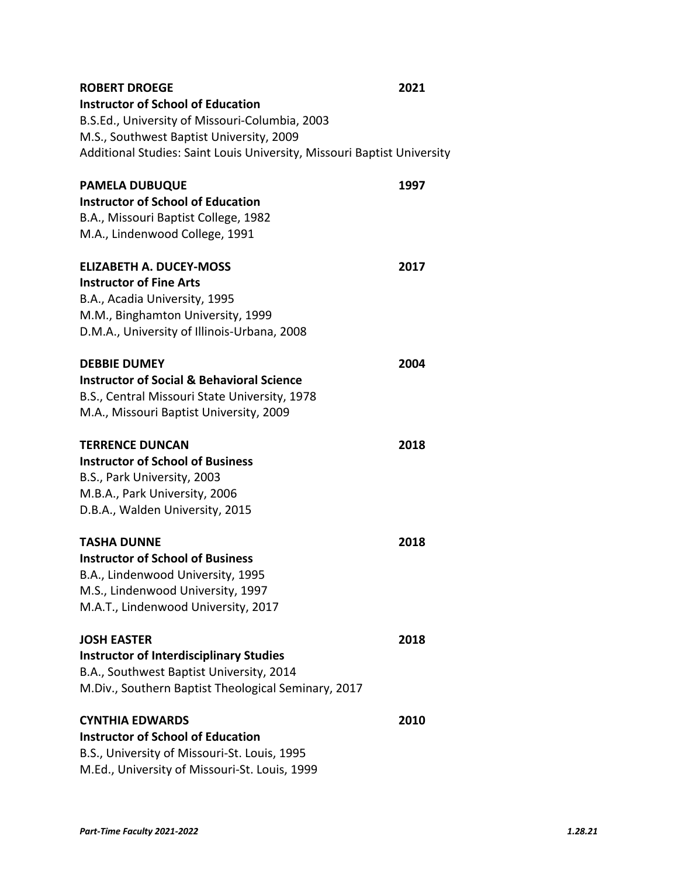| <b>ROBERT DROEGE</b>                                                    | 2021 |
|-------------------------------------------------------------------------|------|
| <b>Instructor of School of Education</b>                                |      |
| B.S.Ed., University of Missouri-Columbia, 2003                          |      |
| M.S., Southwest Baptist University, 2009                                |      |
| Additional Studies: Saint Louis University, Missouri Baptist University |      |
| <b>PAMELA DUBUQUE</b>                                                   | 1997 |
| <b>Instructor of School of Education</b>                                |      |
| B.A., Missouri Baptist College, 1982                                    |      |
| M.A., Lindenwood College, 1991                                          |      |
| <b>ELIZABETH A. DUCEY-MOSS</b>                                          | 2017 |
| <b>Instructor of Fine Arts</b>                                          |      |
| B.A., Acadia University, 1995                                           |      |
| M.M., Binghamton University, 1999                                       |      |
| D.M.A., University of Illinois-Urbana, 2008                             |      |
| <b>DEBBIE DUMEY</b>                                                     | 2004 |
| <b>Instructor of Social &amp; Behavioral Science</b>                    |      |
| B.S., Central Missouri State University, 1978                           |      |
| M.A., Missouri Baptist University, 2009                                 |      |
| <b>TERRENCE DUNCAN</b>                                                  | 2018 |
| <b>Instructor of School of Business</b>                                 |      |
| B.S., Park University, 2003                                             |      |
| M.B.A., Park University, 2006                                           |      |
| D.B.A., Walden University, 2015                                         |      |
| <b>TASHA DUNNE</b>                                                      | 2018 |
| <b>Instructor of School of Business</b>                                 |      |
| B.A., Lindenwood University, 1995                                       |      |
| M.S., Lindenwood University, 1997                                       |      |
| M.A.T., Lindenwood University, 2017                                     |      |
| <b>JOSH EASTER</b>                                                      | 2018 |
| <b>Instructor of Interdisciplinary Studies</b>                          |      |
| B.A., Southwest Baptist University, 2014                                |      |
| M.Div., Southern Baptist Theological Seminary, 2017                     |      |
| <b>CYNTHIA EDWARDS</b>                                                  | 2010 |
| <b>Instructor of School of Education</b>                                |      |
| B.S., University of Missouri-St. Louis, 1995                            |      |
| M.Ed., University of Missouri-St. Louis, 1999                           |      |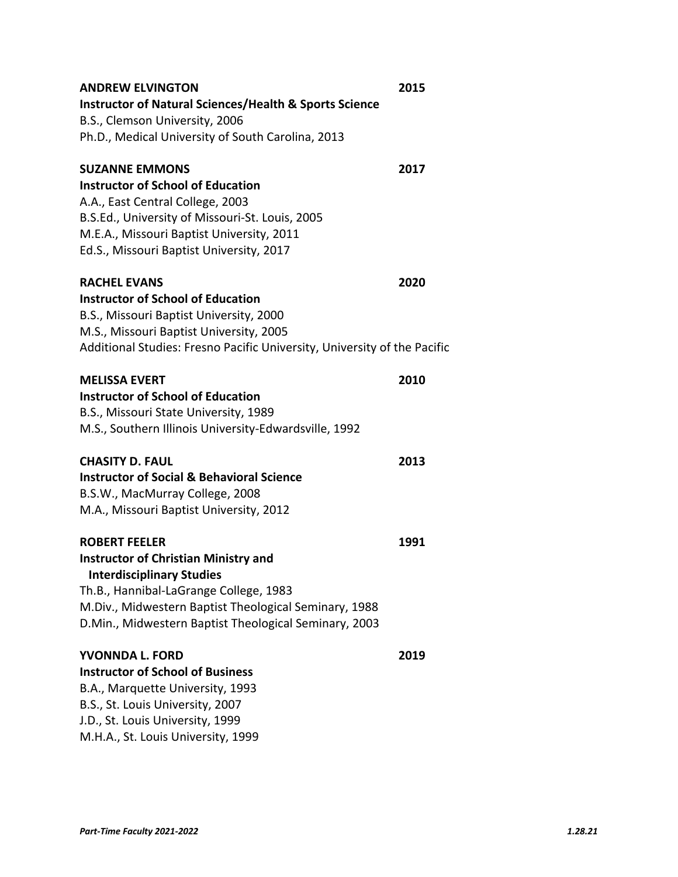| <b>ANDREW ELVINGTON</b>                                                  | 2015 |
|--------------------------------------------------------------------------|------|
| <b>Instructor of Natural Sciences/Health &amp; Sports Science</b>        |      |
| B.S., Clemson University, 2006                                           |      |
| Ph.D., Medical University of South Carolina, 2013                        |      |
| <b>SUZANNE EMMONS</b>                                                    | 2017 |
| <b>Instructor of School of Education</b>                                 |      |
| A.A., East Central College, 2003                                         |      |
| B.S.Ed., University of Missouri-St. Louis, 2005                          |      |
| M.E.A., Missouri Baptist University, 2011                                |      |
| Ed.S., Missouri Baptist University, 2017                                 |      |
| <b>RACHEL EVANS</b>                                                      | 2020 |
| <b>Instructor of School of Education</b>                                 |      |
| B.S., Missouri Baptist University, 2000                                  |      |
| M.S., Missouri Baptist University, 2005                                  |      |
| Additional Studies: Fresno Pacific University, University of the Pacific |      |
| <b>MELISSA EVERT</b>                                                     | 2010 |
| <b>Instructor of School of Education</b>                                 |      |
| B.S., Missouri State University, 1989                                    |      |
| M.S., Southern Illinois University-Edwardsville, 1992                    |      |
| CHASITY D. FAUL                                                          | 2013 |
| <b>Instructor of Social &amp; Behavioral Science</b>                     |      |
| B.S.W., MacMurray College, 2008                                          |      |
| M.A., Missouri Baptist University, 2012                                  |      |
| <b>ROBERT FEELER</b>                                                     | 1991 |
| <b>Instructor of Christian Ministry and</b>                              |      |
| <b>Interdisciplinary Studies</b>                                         |      |
| Th.B., Hannibal-LaGrange College, 1983                                   |      |
| M.Div., Midwestern Baptist Theological Seminary, 1988                    |      |
| D.Min., Midwestern Baptist Theological Seminary, 2003                    |      |
| YVONNDA L. FORD                                                          | 2019 |
| <b>Instructor of School of Business</b>                                  |      |
| B.A., Marquette University, 1993                                         |      |
| B.S., St. Louis University, 2007                                         |      |
| J.D., St. Louis University, 1999                                         |      |
| M.H.A., St. Louis University, 1999                                       |      |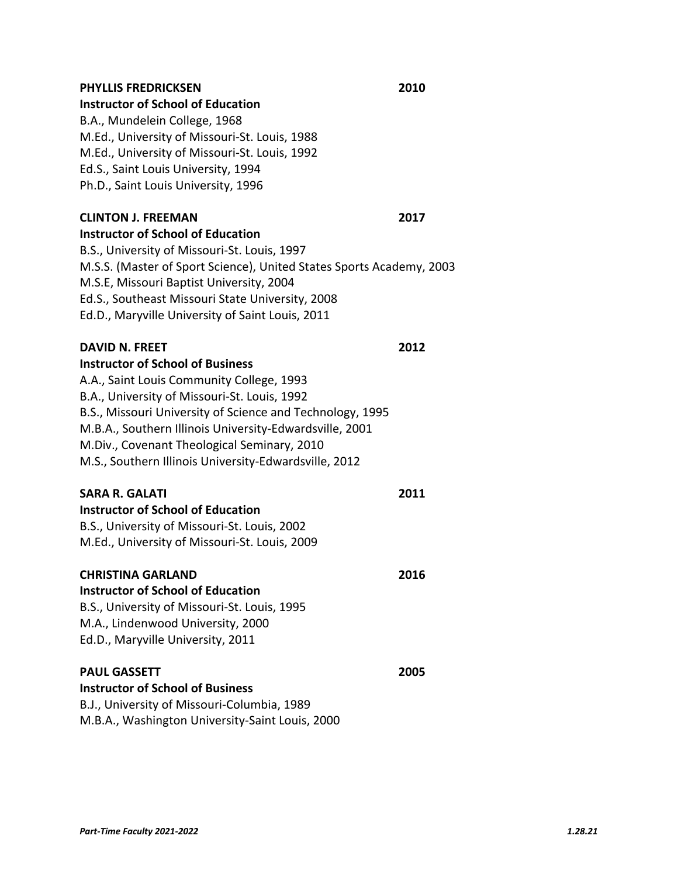# **PHYLLIS FREDRICKSEN 2010**

### **Instructor of School of Education**

B.A., Mundelein College, 1968 M.Ed., University of Missouri‐St. Louis, 1988 M.Ed., University of Missouri‐St. Louis, 1992 Ed.S., Saint Louis University, 1994 Ph.D., Saint Louis University, 1996

### **CLINTON J. FREEMAN 2017**

**Instructor of School of Education**  B.S., University of Missouri‐St. Louis, 1997 M.S.S. (Master of Sport Science), United States Sports Academy, 2003 M.S.E, Missouri Baptist University, 2004 Ed.S., Southeast Missouri State University, 2008 Ed.D., Maryville University of Saint Louis, 2011

### **DAVID N. FREET 2012**

**Instructor of School of Business**  A.A., Saint Louis Community College, 1993 B.A., University of Missouri‐St. Louis, 1992 B.S., Missouri University of Science and Technology, 1995 M.B.A., Southern Illinois University‐Edwardsville, 2001 M.Div., Covenant Theological Seminary, 2010 M.S., Southern Illinois University‐Edwardsville, 2012

### **SARA R. GALATI 2011**

**Instructor of School of Education**  B.S., University of Missouri‐St. Louis, 2002 M.Ed., University of Missouri‐St. Louis, 2009

M.B.A., Washington University‐Saint Louis, 2000

| <b>CHRISTINA GARLAND</b>                     | 2016 |
|----------------------------------------------|------|
| <b>Instructor of School of Education</b>     |      |
| B.S., University of Missouri-St. Louis, 1995 |      |
| M.A., Lindenwood University, 2000            |      |
| Ed.D., Maryville University, 2011            |      |
| <b>PAUL GASSETT</b>                          | 2005 |
| <b>Instructor of School of Business</b>      |      |
| B.J., University of Missouri-Columbia, 1989  |      |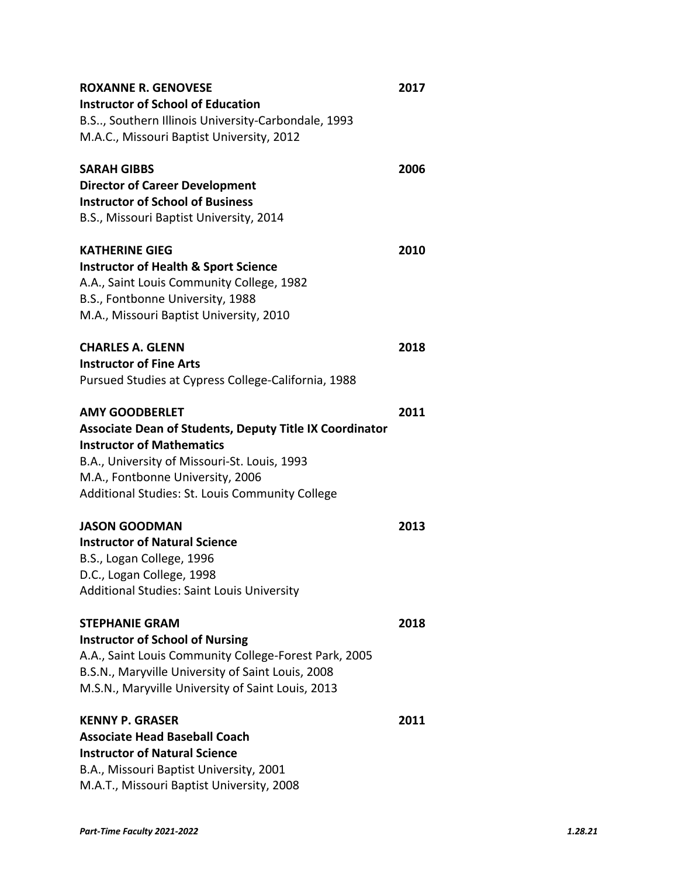| <b>ROXANNE R. GENOVESE</b>                                     | 2017 |
|----------------------------------------------------------------|------|
| <b>Instructor of School of Education</b>                       |      |
| B.S, Southern Illinois University-Carbondale, 1993             |      |
| M.A.C., Missouri Baptist University, 2012                      |      |
| <b>SARAH GIBBS</b>                                             | 2006 |
| <b>Director of Career Development</b>                          |      |
| <b>Instructor of School of Business</b>                        |      |
| B.S., Missouri Baptist University, 2014                        |      |
| <b>KATHERINE GIEG</b>                                          | 2010 |
| <b>Instructor of Health &amp; Sport Science</b>                |      |
| A.A., Saint Louis Community College, 1982                      |      |
| B.S., Fontbonne University, 1988                               |      |
| M.A., Missouri Baptist University, 2010                        |      |
| <b>CHARLES A. GLENN</b>                                        | 2018 |
| <b>Instructor of Fine Arts</b>                                 |      |
| Pursued Studies at Cypress College-California, 1988            |      |
| <b>AMY GOODBERLET</b>                                          | 2011 |
| <b>Associate Dean of Students, Deputy Title IX Coordinator</b> |      |
| <b>Instructor of Mathematics</b>                               |      |
| B.A., University of Missouri-St. Louis, 1993                   |      |
| M.A., Fontbonne University, 2006                               |      |
| Additional Studies: St. Louis Community College                |      |
| <b>JASON GOODMAN</b>                                           | 2013 |
| <b>Instructor of Natural Science</b>                           |      |
| B.S., Logan College, 1996                                      |      |
| D.C., Logan College, 1998                                      |      |
| <b>Additional Studies: Saint Louis University</b>              |      |
| <b>STEPHANIE GRAM</b>                                          | 2018 |
| <b>Instructor of School of Nursing</b>                         |      |
| A.A., Saint Louis Community College-Forest Park, 2005          |      |
| B.S.N., Maryville University of Saint Louis, 2008              |      |
| M.S.N., Maryville University of Saint Louis, 2013              |      |
| <b>KENNY P. GRASER</b>                                         | 2011 |
| <b>Associate Head Baseball Coach</b>                           |      |
| <b>Instructor of Natural Science</b>                           |      |
| B.A., Missouri Baptist University, 2001                        |      |
| M.A.T., Missouri Baptist University, 2008                      |      |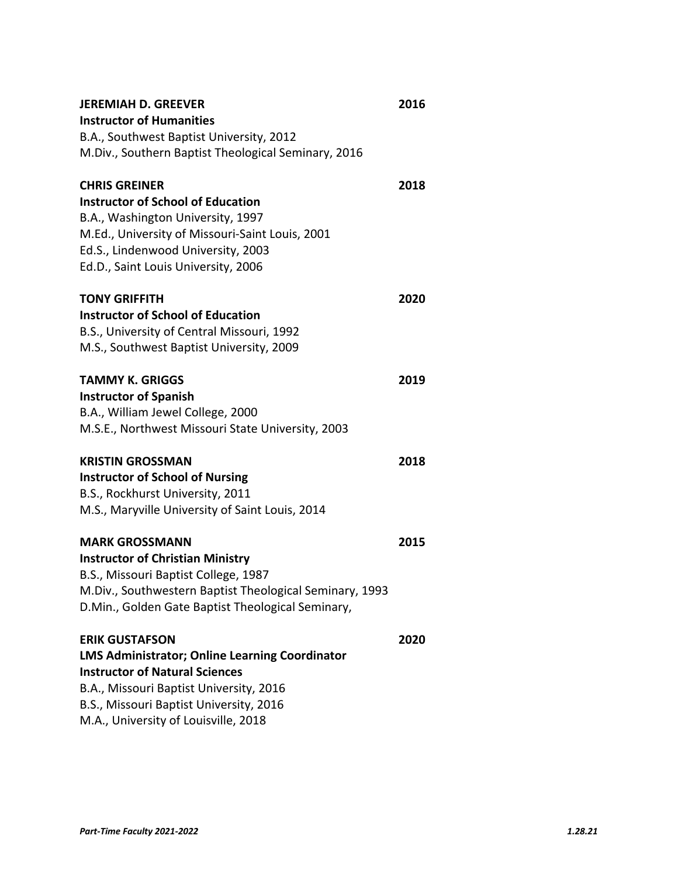| <b>JEREMIAH D. GREEVER</b>                              | 2016 |
|---------------------------------------------------------|------|
| <b>Instructor of Humanities</b>                         |      |
| B.A., Southwest Baptist University, 2012                |      |
| M.Div., Southern Baptist Theological Seminary, 2016     |      |
| <b>CHRIS GREINER</b>                                    | 2018 |
| <b>Instructor of School of Education</b>                |      |
| B.A., Washington University, 1997                       |      |
| M.Ed., University of Missouri-Saint Louis, 2001         |      |
| Ed.S., Lindenwood University, 2003                      |      |
| Ed.D., Saint Louis University, 2006                     |      |
|                                                         |      |
| <b>TONY GRIFFITH</b>                                    | 2020 |
| <b>Instructor of School of Education</b>                |      |
| B.S., University of Central Missouri, 1992              |      |
| M.S., Southwest Baptist University, 2009                |      |
| <b>TAMMY K. GRIGGS</b>                                  | 2019 |
| <b>Instructor of Spanish</b>                            |      |
| B.A., William Jewel College, 2000                       |      |
| M.S.E., Northwest Missouri State University, 2003       |      |
|                                                         |      |
| <b>KRISTIN GROSSMAN</b>                                 | 2018 |
| <b>Instructor of School of Nursing</b>                  |      |
| B.S., Rockhurst University, 2011                        |      |
| M.S., Maryville University of Saint Louis, 2014         |      |
| <b>MARK GROSSMANN</b>                                   | 2015 |
| <b>Instructor of Christian Ministry</b>                 |      |
| B.S., Missouri Baptist College, 1987                    |      |
| M.Div., Southwestern Baptist Theological Seminary, 1993 |      |
| D.Min., Golden Gate Baptist Theological Seminary,       |      |
|                                                         |      |
| <b>ERIK GUSTAFSON</b>                                   | 2020 |
| <b>LMS Administrator; Online Learning Coordinator</b>   |      |
| <b>Instructor of Natural Sciences</b>                   |      |
| B.A., Missouri Baptist University, 2016                 |      |
| B.S., Missouri Baptist University, 2016                 |      |
| M.A., University of Louisville, 2018                    |      |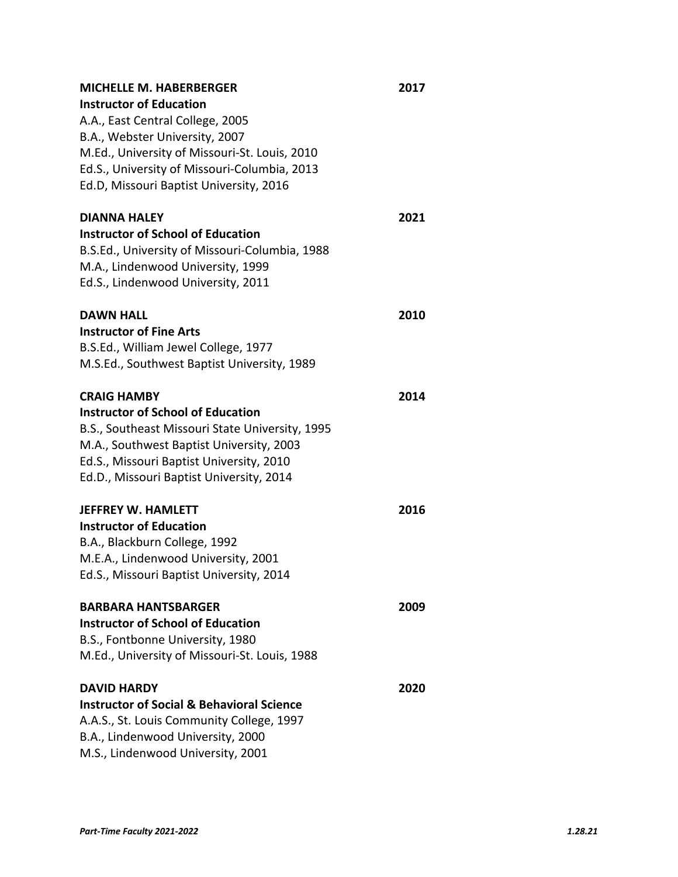| <b>MICHELLE M. HABERBERGER</b>                       | 2017 |
|------------------------------------------------------|------|
| <b>Instructor of Education</b>                       |      |
| A.A., East Central College, 2005                     |      |
| B.A., Webster University, 2007                       |      |
| M.Ed., University of Missouri-St. Louis, 2010        |      |
| Ed.S., University of Missouri-Columbia, 2013         |      |
| Ed.D, Missouri Baptist University, 2016              |      |
| <b>DIANNA HALEY</b>                                  | 2021 |
| <b>Instructor of School of Education</b>             |      |
| B.S.Ed., University of Missouri-Columbia, 1988       |      |
| M.A., Lindenwood University, 1999                    |      |
| Ed.S., Lindenwood University, 2011                   |      |
| <b>DAWN HALL</b>                                     | 2010 |
| <b>Instructor of Fine Arts</b>                       |      |
| B.S.Ed., William Jewel College, 1977                 |      |
| M.S.Ed., Southwest Baptist University, 1989          |      |
| <b>CRAIG HAMBY</b>                                   | 2014 |
| <b>Instructor of School of Education</b>             |      |
| B.S., Southeast Missouri State University, 1995      |      |
| M.A., Southwest Baptist University, 2003             |      |
| Ed.S., Missouri Baptist University, 2010             |      |
| Ed.D., Missouri Baptist University, 2014             |      |
| <b>JEFFREY W. HAMLETT</b>                            | 2016 |
| <b>Instructor of Education</b>                       |      |
| B.A., Blackburn College, 1992                        |      |
| M.E.A., Lindenwood University, 2001                  |      |
| Ed.S., Missouri Baptist University, 2014             |      |
| <b>BARBARA HANTSBARGER</b>                           | 2009 |
| <b>Instructor of School of Education</b>             |      |
| B.S., Fontbonne University, 1980                     |      |
| M.Ed., University of Missouri-St. Louis, 1988        |      |
| <b>DAVID HARDY</b>                                   | 2020 |
| <b>Instructor of Social &amp; Behavioral Science</b> |      |
| A.A.S., St. Louis Community College, 1997            |      |
| B.A., Lindenwood University, 2000                    |      |
| M.S., Lindenwood University, 2001                    |      |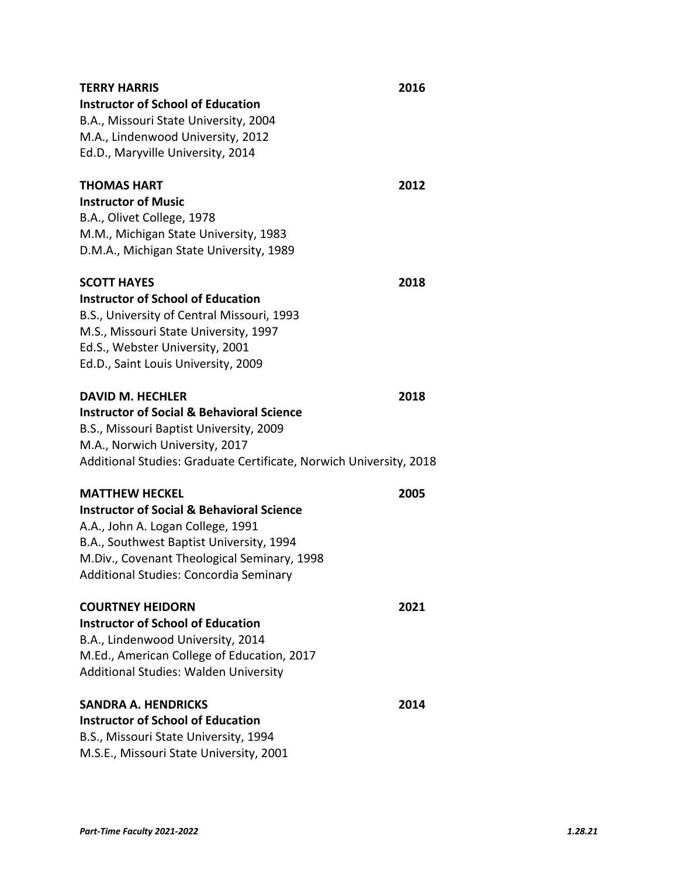| <b>TERRY HARRIS</b>                                                | 2016 |
|--------------------------------------------------------------------|------|
| <b>Instructor of School of Education</b>                           |      |
| B.A., Missouri State University, 2004                              |      |
| M.A., Lindenwood University, 2012                                  |      |
| Ed.D., Maryville University, 2014                                  |      |
|                                                                    |      |
| <b>THOMAS HART</b>                                                 | 2012 |
| <b>Instructor of Music</b>                                         |      |
| B.A., Olivet College, 1978                                         |      |
| M.M., Michigan State University, 1983                              |      |
| D.M.A., Michigan State University, 1989                            |      |
| <b>SCOTT HAYES</b>                                                 | 2018 |
| <b>Instructor of School of Education</b>                           |      |
| B.S., University of Central Missouri, 1993                         |      |
| M.S., Missouri State University, 1997                              |      |
| Ed.S., Webster University, 2001                                    |      |
| Ed.D., Saint Louis University, 2009                                |      |
| <b>DAVID M. HECHLER</b>                                            | 2018 |
| <b>Instructor of Social &amp; Behavioral Science</b>               |      |
| B.S., Missouri Baptist University, 2009                            |      |
| M.A., Norwich University, 2017                                     |      |
| Additional Studies: Graduate Certificate, Norwich University, 2018 |      |
| <b>MATTHEW HECKEL</b>                                              | 2005 |
| <b>Instructor of Social &amp; Behavioral Science</b>               |      |
| A.A., John A. Logan College, 1991                                  |      |
| B.A., Southwest Baptist University, 1994                           |      |
| M.Div., Covenant Theological Seminary, 1998                        |      |
| Additional Studies: Concordia Seminary                             |      |
| <b>COURTNEY HEIDORN</b>                                            | 2021 |
| <b>Instructor of School of Education</b>                           |      |
| B.A., Lindenwood University, 2014                                  |      |
| M.Ed., American College of Education, 2017                         |      |
| Additional Studies: Walden University                              |      |
| <b>SANDRA A. HENDRICKS</b>                                         | 2014 |
| <b>Instructor of School of Education</b>                           |      |
| B.S., Missouri State University, 1994                              |      |
| M.S.E., Missouri State University, 2001                            |      |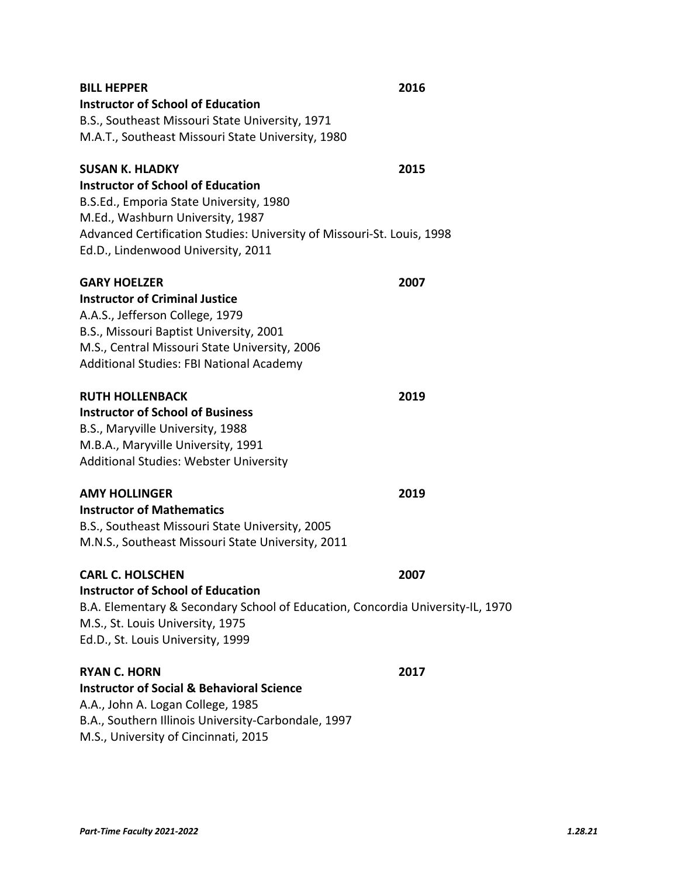| <b>BILL HEPPER</b><br><b>Instructor of School of Education</b><br>B.S., Southeast Missouri State University, 1971<br>M.A.T., Southeast Missouri State University, 1980                                                                                            | 2016 |
|-------------------------------------------------------------------------------------------------------------------------------------------------------------------------------------------------------------------------------------------------------------------|------|
| <b>SUSAN K. HLADKY</b><br><b>Instructor of School of Education</b><br>B.S.Ed., Emporia State University, 1980<br>M.Ed., Washburn University, 1987<br>Advanced Certification Studies: University of Missouri-St. Louis, 1998<br>Ed.D., Lindenwood University, 2011 | 2015 |
| <b>GARY HOELZER</b><br><b>Instructor of Criminal Justice</b><br>A.A.S., Jefferson College, 1979<br>B.S., Missouri Baptist University, 2001<br>M.S., Central Missouri State University, 2006<br>Additional Studies: FBI National Academy                           | 2007 |
| <b>RUTH HOLLENBACK</b><br><b>Instructor of School of Business</b><br>B.S., Maryville University, 1988<br>M.B.A., Maryville University, 1991<br><b>Additional Studies: Webster University</b>                                                                      | 2019 |
| <b>AMY HOLLINGER</b><br><b>Instructor of Mathematics</b><br>B.S., Southeast Missouri State University, 2005<br>M.N.S., Southeast Missouri State University, 2011                                                                                                  | 2019 |
| <b>CARL C. HOLSCHEN</b><br><b>Instructor of School of Education</b><br>B.A. Elementary & Secondary School of Education, Concordia University-IL, 1970<br>M.S., St. Louis University, 1975<br>Ed.D., St. Louis University, 1999                                    | 2007 |
| <b>RYAN C. HORN</b><br><b>Instructor of Social &amp; Behavioral Science</b><br>A.A., John A. Logan College, 1985<br>B.A., Southern Illinois University-Carbondale, 1997<br>M.S., University of Cincinnati, 2015                                                   | 2017 |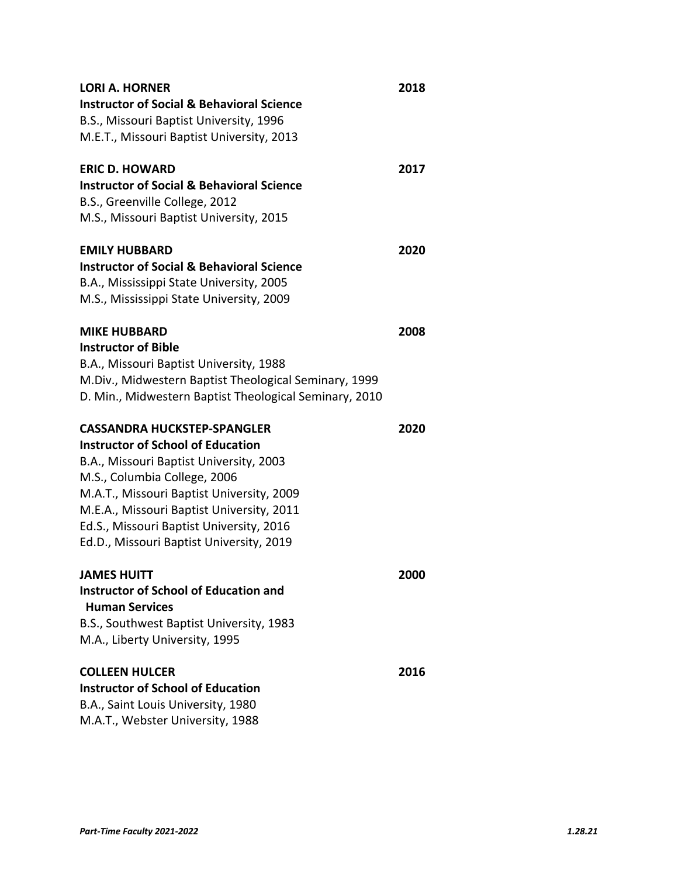| <b>LORI A. HORNER</b>                                  | 2018 |
|--------------------------------------------------------|------|
| <b>Instructor of Social &amp; Behavioral Science</b>   |      |
| B.S., Missouri Baptist University, 1996                |      |
| M.E.T., Missouri Baptist University, 2013              |      |
| <b>ERIC D. HOWARD</b>                                  | 2017 |
| <b>Instructor of Social &amp; Behavioral Science</b>   |      |
| B.S., Greenville College, 2012                         |      |
| M.S., Missouri Baptist University, 2015                |      |
| <b>EMILY HUBBARD</b>                                   | 2020 |
| <b>Instructor of Social &amp; Behavioral Science</b>   |      |
| B.A., Mississippi State University, 2005               |      |
| M.S., Mississippi State University, 2009               |      |
| <b>MIKE HUBBARD</b>                                    | 2008 |
| <b>Instructor of Bible</b>                             |      |
| B.A., Missouri Baptist University, 1988                |      |
| M.Div., Midwestern Baptist Theological Seminary, 1999  |      |
| D. Min., Midwestern Baptist Theological Seminary, 2010 |      |
| CASSANDRA HUCKSTEP-SPANGLER                            | 2020 |
| <b>Instructor of School of Education</b>               |      |
| B.A., Missouri Baptist University, 2003                |      |
| M.S., Columbia College, 2006                           |      |
| M.A.T., Missouri Baptist University, 2009              |      |
| M.E.A., Missouri Baptist University, 2011              |      |
| Ed.S., Missouri Baptist University, 2016               |      |
| Ed.D., Missouri Baptist University, 2019               |      |
| <b>JAMES HUITT</b>                                     | 2000 |
| <b>Instructor of School of Education and</b>           |      |
| <b>Human Services</b>                                  |      |
| B.S., Southwest Baptist University, 1983               |      |
| M.A., Liberty University, 1995                         |      |
| <b>COLLEEN HULCER</b>                                  | 2016 |
| <b>Instructor of School of Education</b>               |      |
| B.A., Saint Louis University, 1980                     |      |
| M.A.T., Webster University, 1988                       |      |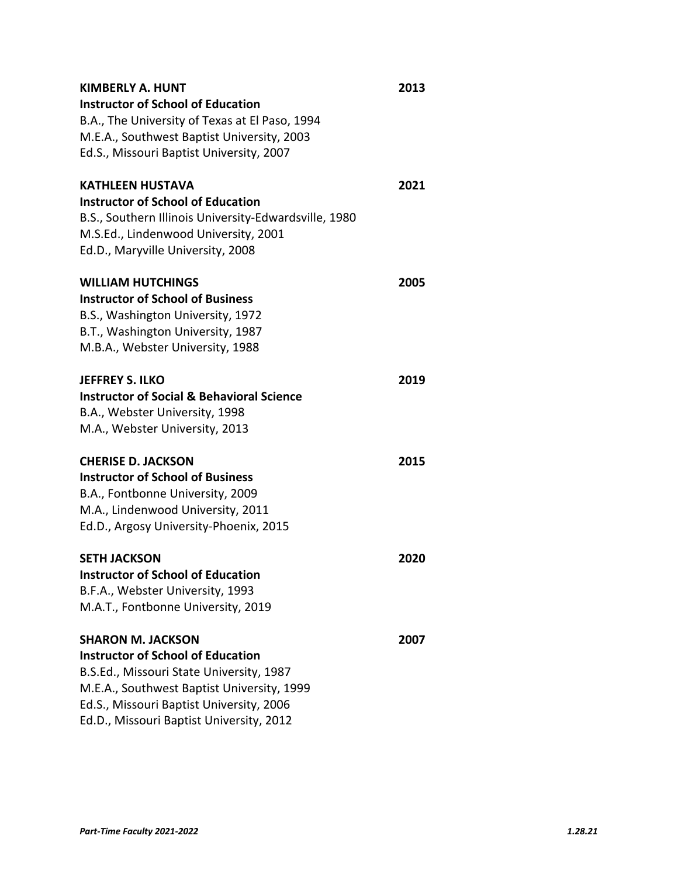| <b>KIMBERLY A. HUNT</b>                               | 2013 |
|-------------------------------------------------------|------|
| <b>Instructor of School of Education</b>              |      |
| B.A., The University of Texas at El Paso, 1994        |      |
| M.E.A., Southwest Baptist University, 2003            |      |
| Ed.S., Missouri Baptist University, 2007              |      |
| <b>KATHLEEN HUSTAVA</b>                               | 2021 |
| <b>Instructor of School of Education</b>              |      |
| B.S., Southern Illinois University-Edwardsville, 1980 |      |
| M.S.Ed., Lindenwood University, 2001                  |      |
| Ed.D., Maryville University, 2008                     |      |
| <b>WILLIAM HUTCHINGS</b>                              | 2005 |
| <b>Instructor of School of Business</b>               |      |
| B.S., Washington University, 1972                     |      |
| B.T., Washington University, 1987                     |      |
| M.B.A., Webster University, 1988                      |      |
| <b>JEFFREY S. ILKO</b>                                | 2019 |
| <b>Instructor of Social &amp; Behavioral Science</b>  |      |
| B.A., Webster University, 1998                        |      |
| M.A., Webster University, 2013                        |      |
| <b>CHERISE D. JACKSON</b>                             | 2015 |
| <b>Instructor of School of Business</b>               |      |
| B.A., Fontbonne University, 2009                      |      |
| M.A., Lindenwood University, 2011                     |      |
| Ed.D., Argosy University-Phoenix, 2015                |      |
| <b>SETH JACKSON</b>                                   | 2020 |
| Instructor of School of Education                     |      |
| B.F.A., Webster University, 1993                      |      |
| M.A.T., Fontbonne University, 2019                    |      |
| <b>SHARON M. JACKSON</b>                              | 2007 |
| <b>Instructor of School of Education</b>              |      |
| B.S.Ed., Missouri State University, 1987              |      |
| M.E.A., Southwest Baptist University, 1999            |      |
| Ed.S., Missouri Baptist University, 2006              |      |
| Ed.D., Missouri Baptist University, 2012              |      |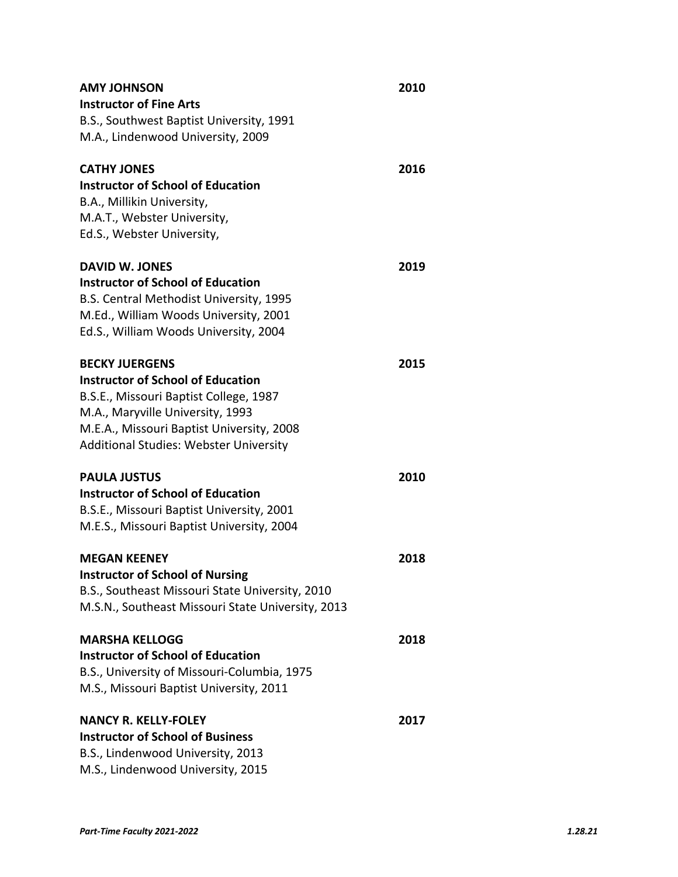| <b>AMY JOHNSON</b>                                | 2010 |  |
|---------------------------------------------------|------|--|
| <b>Instructor of Fine Arts</b>                    |      |  |
| B.S., Southwest Baptist University, 1991          |      |  |
| M.A., Lindenwood University, 2009                 |      |  |
| <b>CATHY JONES</b>                                | 2016 |  |
| <b>Instructor of School of Education</b>          |      |  |
| B.A., Millikin University,                        |      |  |
| M.A.T., Webster University,                       |      |  |
| Ed.S., Webster University,                        |      |  |
| <b>DAVID W. JONES</b>                             | 2019 |  |
| <b>Instructor of School of Education</b>          |      |  |
| B.S. Central Methodist University, 1995           |      |  |
| M.Ed., William Woods University, 2001             |      |  |
| Ed.S., William Woods University, 2004             |      |  |
| <b>BECKY JUERGENS</b>                             | 2015 |  |
| <b>Instructor of School of Education</b>          |      |  |
| B.S.E., Missouri Baptist College, 1987            |      |  |
| M.A., Maryville University, 1993                  |      |  |
| M.E.A., Missouri Baptist University, 2008         |      |  |
| <b>Additional Studies: Webster University</b>     |      |  |
| <b>PAULA JUSTUS</b>                               | 2010 |  |
| <b>Instructor of School of Education</b>          |      |  |
| B.S.E., Missouri Baptist University, 2001         |      |  |
| M.E.S., Missouri Baptist University, 2004         |      |  |
| <b>MEGAN KEENEY</b>                               | 2018 |  |
| <b>Instructor of School of Nursing</b>            |      |  |
| B.S., Southeast Missouri State University, 2010   |      |  |
| M.S.N., Southeast Missouri State University, 2013 |      |  |
| <b>MARSHA KELLOGG</b>                             | 2018 |  |
| <b>Instructor of School of Education</b>          |      |  |
| B.S., University of Missouri-Columbia, 1975       |      |  |
| M.S., Missouri Baptist University, 2011           |      |  |
| <b>NANCY R. KELLY-FOLEY</b>                       | 2017 |  |
| <b>Instructor of School of Business</b>           |      |  |
| B.S., Lindenwood University, 2013                 |      |  |
| M.S., Lindenwood University, 2015                 |      |  |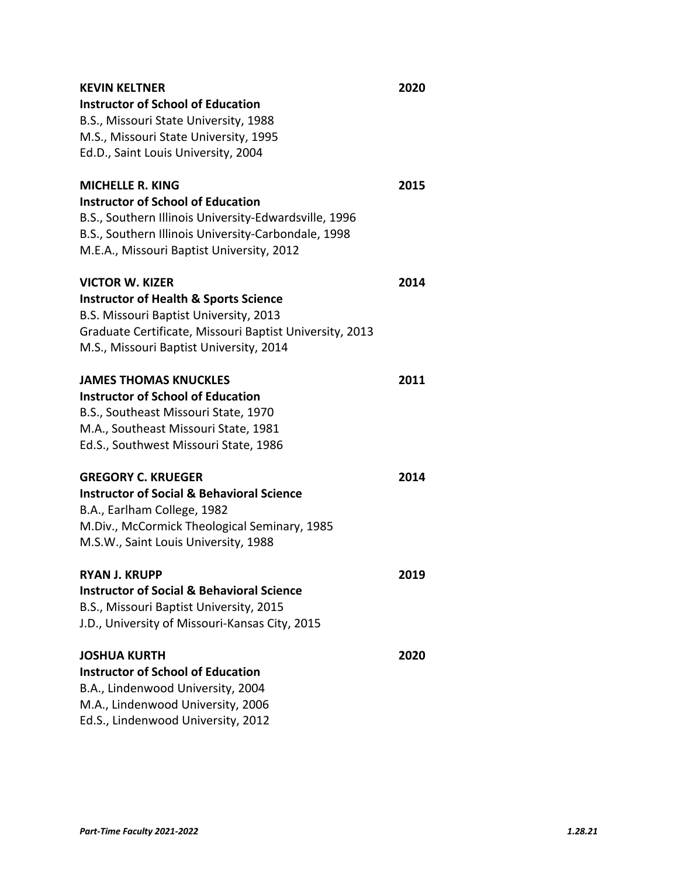| <b>KEVIN KELTNER</b>                                    | 2020 |
|---------------------------------------------------------|------|
| <b>Instructor of School of Education</b>                |      |
| B.S., Missouri State University, 1988                   |      |
| M.S., Missouri State University, 1995                   |      |
| Ed.D., Saint Louis University, 2004                     |      |
| <b>MICHELLE R. KING</b>                                 | 2015 |
| <b>Instructor of School of Education</b>                |      |
| B.S., Southern Illinois University-Edwardsville, 1996   |      |
| B.S., Southern Illinois University-Carbondale, 1998     |      |
| M.E.A., Missouri Baptist University, 2012               |      |
| VICTOR W. KIZER                                         | 2014 |
| <b>Instructor of Health &amp; Sports Science</b>        |      |
| B.S. Missouri Baptist University, 2013                  |      |
| Graduate Certificate, Missouri Baptist University, 2013 |      |
| M.S., Missouri Baptist University, 2014                 |      |
| <b>JAMES THOMAS KNUCKLES</b>                            | 2011 |
| <b>Instructor of School of Education</b>                |      |
| B.S., Southeast Missouri State, 1970                    |      |
| M.A., Southeast Missouri State, 1981                    |      |
| Ed.S., Southwest Missouri State, 1986                   |      |
| <b>GREGORY C. KRUEGER</b>                               | 2014 |
| <b>Instructor of Social &amp; Behavioral Science</b>    |      |
| B.A., Earlham College, 1982                             |      |
| M.Div., McCormick Theological Seminary, 1985            |      |
| M.S.W., Saint Louis University, 1988                    |      |
| RYAN J. KRUPP                                           | 2019 |
| <b>Instructor of Social &amp; Behavioral Science</b>    |      |
| B.S., Missouri Baptist University, 2015                 |      |
| J.D., University of Missouri-Kansas City, 2015          |      |
| <b>JOSHUA KURTH</b>                                     | 2020 |
| <b>Instructor of School of Education</b>                |      |
| B.A., Lindenwood University, 2004                       |      |
| M.A., Lindenwood University, 2006                       |      |
| Ed.S., Lindenwood University, 2012                      |      |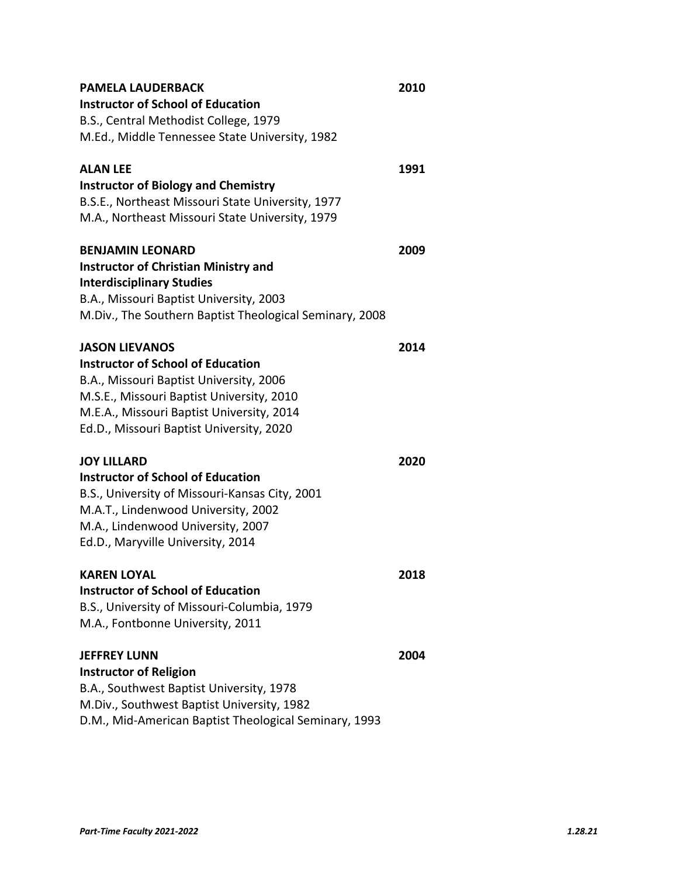| PAMELA LAUDERBACK                                       | 2010 |
|---------------------------------------------------------|------|
| <b>Instructor of School of Education</b>                |      |
| B.S., Central Methodist College, 1979                   |      |
| M.Ed., Middle Tennessee State University, 1982          |      |
| <b>ALAN LEE</b>                                         | 1991 |
| <b>Instructor of Biology and Chemistry</b>              |      |
| B.S.E., Northeast Missouri State University, 1977       |      |
| M.A., Northeast Missouri State University, 1979         |      |
| <b>BENJAMIN LEONARD</b>                                 | 2009 |
| <b>Instructor of Christian Ministry and</b>             |      |
| <b>Interdisciplinary Studies</b>                        |      |
| B.A., Missouri Baptist University, 2003                 |      |
| M.Div., The Southern Baptist Theological Seminary, 2008 |      |
| <b>JASON LIEVANOS</b>                                   | 2014 |
| <b>Instructor of School of Education</b>                |      |
| B.A., Missouri Baptist University, 2006                 |      |
| M.S.E., Missouri Baptist University, 2010               |      |
| M.E.A., Missouri Baptist University, 2014               |      |
| Ed.D., Missouri Baptist University, 2020                |      |
| <b>JOY LILLARD</b>                                      | 2020 |
| <b>Instructor of School of Education</b>                |      |
| B.S., University of Missouri-Kansas City, 2001          |      |
| M.A.T., Lindenwood University, 2002                     |      |
| M.A., Lindenwood University, 2007                       |      |
| Ed.D., Maryville University, 2014                       |      |
| KAREN LOYAL                                             | 2018 |
| <b>Instructor of School of Education</b>                |      |
| B.S., University of Missouri-Columbia, 1979             |      |
| M.A., Fontbonne University, 2011                        |      |
| <b>JEFFREY LUNN</b>                                     | 2004 |
| <b>Instructor of Religion</b>                           |      |
| B.A., Southwest Baptist University, 1978                |      |
| M.Div., Southwest Baptist University, 1982              |      |
| D.M., Mid-American Baptist Theological Seminary, 1993   |      |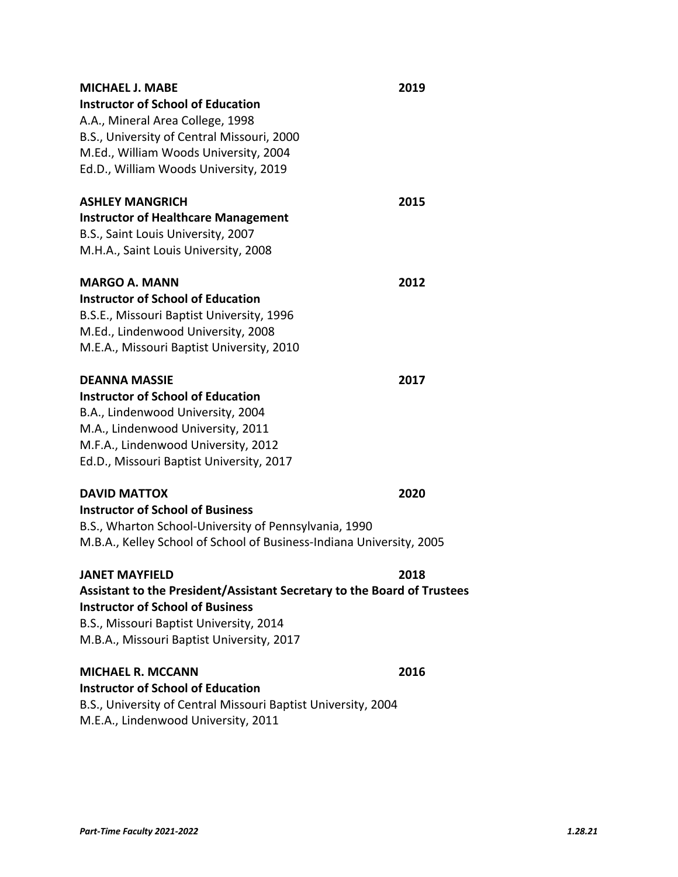| MICHAEL J. MABE                                                         | 2019 |
|-------------------------------------------------------------------------|------|
| <b>Instructor of School of Education</b>                                |      |
| A.A., Mineral Area College, 1998                                        |      |
| B.S., University of Central Missouri, 2000                              |      |
| M.Ed., William Woods University, 2004                                   |      |
| Ed.D., William Woods University, 2019                                   |      |
| <b>ASHLEY MANGRICH</b>                                                  | 2015 |
| <b>Instructor of Healthcare Management</b>                              |      |
| B.S., Saint Louis University, 2007                                      |      |
| M.H.A., Saint Louis University, 2008                                    |      |
| <b>MARGO A. MANN</b>                                                    | 2012 |
| <b>Instructor of School of Education</b>                                |      |
| B.S.E., Missouri Baptist University, 1996                               |      |
| M.Ed., Lindenwood University, 2008                                      |      |
| M.E.A., Missouri Baptist University, 2010                               |      |
| <b>DEANNA MASSIE</b>                                                    | 2017 |
| <b>Instructor of School of Education</b>                                |      |
| B.A., Lindenwood University, 2004                                       |      |
| M.A., Lindenwood University, 2011                                       |      |
| M.F.A., Lindenwood University, 2012                                     |      |
| Ed.D., Missouri Baptist University, 2017                                |      |
| <b>DAVID MATTOX</b>                                                     | 2020 |
| <b>Instructor of School of Business</b>                                 |      |
| B.S., Wharton School-University of Pennsylvania, 1990                   |      |
| M.B.A., Kelley School of School of Business-Indiana University, 2005    |      |
| JANET MAYFIELD                                                          | 2018 |
| Assistant to the President/Assistant Secretary to the Board of Trustees |      |
| <b>Instructor of School of Business</b>                                 |      |
| B.S., Missouri Baptist University, 2014                                 |      |
| M.B.A., Missouri Baptist University, 2017                               |      |
| <b>MICHAEL R. MCCANN</b>                                                | 2016 |
| <b>Instructor of School of Education</b>                                |      |
| B.S., University of Central Missouri Baptist University, 2004           |      |

M.E.A., Lindenwood University, 2011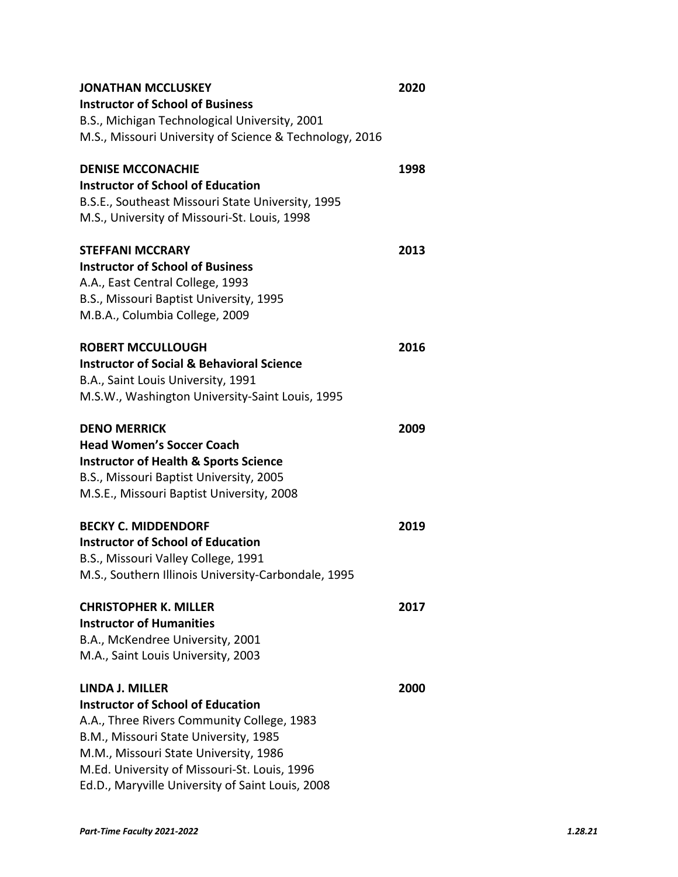| <b>JONATHAN MCCLUSKEY</b>                               | 2020 |
|---------------------------------------------------------|------|
| <b>Instructor of School of Business</b>                 |      |
| B.S., Michigan Technological University, 2001           |      |
| M.S., Missouri University of Science & Technology, 2016 |      |
| <b>DENISE MCCONACHIE</b>                                | 1998 |
| <b>Instructor of School of Education</b>                |      |
| B.S.E., Southeast Missouri State University, 1995       |      |
| M.S., University of Missouri-St. Louis, 1998            |      |
| <b>STEFFANI MCCRARY</b>                                 | 2013 |
| <b>Instructor of School of Business</b>                 |      |
| A.A., East Central College, 1993                        |      |
| B.S., Missouri Baptist University, 1995                 |      |
| M.B.A., Columbia College, 2009                          |      |
| <b>ROBERT MCCULLOUGH</b>                                | 2016 |
| <b>Instructor of Social &amp; Behavioral Science</b>    |      |
| B.A., Saint Louis University, 1991                      |      |
| M.S.W., Washington University-Saint Louis, 1995         |      |
| <b>DENO MERRICK</b>                                     | 2009 |
| <b>Head Women's Soccer Coach</b>                        |      |
| <b>Instructor of Health &amp; Sports Science</b>        |      |
| B.S., Missouri Baptist University, 2005                 |      |
| M.S.E., Missouri Baptist University, 2008               |      |
| <b>BECKY C. MIDDENDORF</b>                              | 2019 |
| <b>Instructor of School of Education</b>                |      |
| B.S., Missouri Valley College, 1991                     |      |
| M.S., Southern Illinois University-Carbondale, 1995     |      |
| CHRISTOPHER K. MILLER                                   | 2017 |
| <b>Instructor of Humanities</b>                         |      |
| B.A., McKendree University, 2001                        |      |
| M.A., Saint Louis University, 2003                      |      |
| LINDA J. MILLER                                         | 2000 |
| <b>Instructor of School of Education</b>                |      |
| A.A., Three Rivers Community College, 1983              |      |
| B.M., Missouri State University, 1985                   |      |
| M.M., Missouri State University, 1986                   |      |
| M.Ed. University of Missouri-St. Louis, 1996            |      |
| Ed.D., Maryville University of Saint Louis, 2008        |      |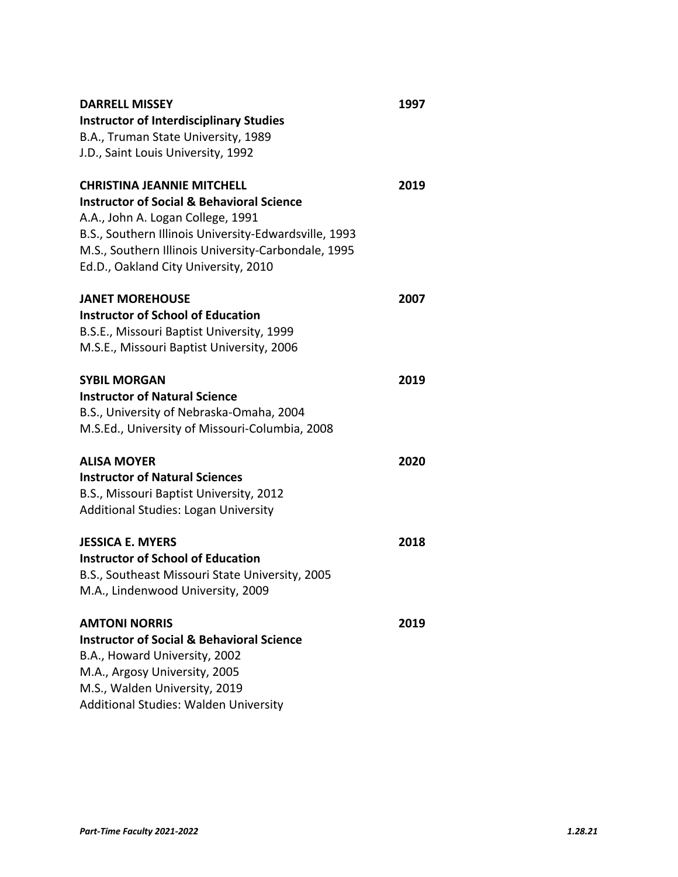| <b>DARRELL MISSEY</b>                                 | 1997 |
|-------------------------------------------------------|------|
| <b>Instructor of Interdisciplinary Studies</b>        |      |
| B.A., Truman State University, 1989                   |      |
| J.D., Saint Louis University, 1992                    |      |
| <b>CHRISTINA JEANNIE MITCHELL</b>                     | 2019 |
| <b>Instructor of Social &amp; Behavioral Science</b>  |      |
| A.A., John A. Logan College, 1991                     |      |
| B.S., Southern Illinois University-Edwardsville, 1993 |      |
| M.S., Southern Illinois University-Carbondale, 1995   |      |
| Ed.D., Oakland City University, 2010                  |      |
| <b>JANET MOREHOUSE</b>                                | 2007 |
| <b>Instructor of School of Education</b>              |      |
| B.S.E., Missouri Baptist University, 1999             |      |
| M.S.E., Missouri Baptist University, 2006             |      |
| <b>SYBIL MORGAN</b>                                   | 2019 |
| <b>Instructor of Natural Science</b>                  |      |
| B.S., University of Nebraska-Omaha, 2004              |      |
| M.S.Ed., University of Missouri-Columbia, 2008        |      |
| <b>ALISA MOYER</b>                                    | 2020 |
| <b>Instructor of Natural Sciences</b>                 |      |
| B.S., Missouri Baptist University, 2012               |      |
| <b>Additional Studies: Logan University</b>           |      |
| <b>JESSICA E. MYERS</b>                               | 2018 |
| <b>Instructor of School of Education</b>              |      |
| B.S., Southeast Missouri State University, 2005       |      |
| M.A., Lindenwood University, 2009                     |      |
| <b>AMTONI NORRIS</b>                                  | 2019 |
| <b>Instructor of Social &amp; Behavioral Science</b>  |      |
| B.A., Howard University, 2002                         |      |
| M.A., Argosy University, 2005                         |      |
| M.S., Walden University, 2019                         |      |
| Additional Studies: Walden University                 |      |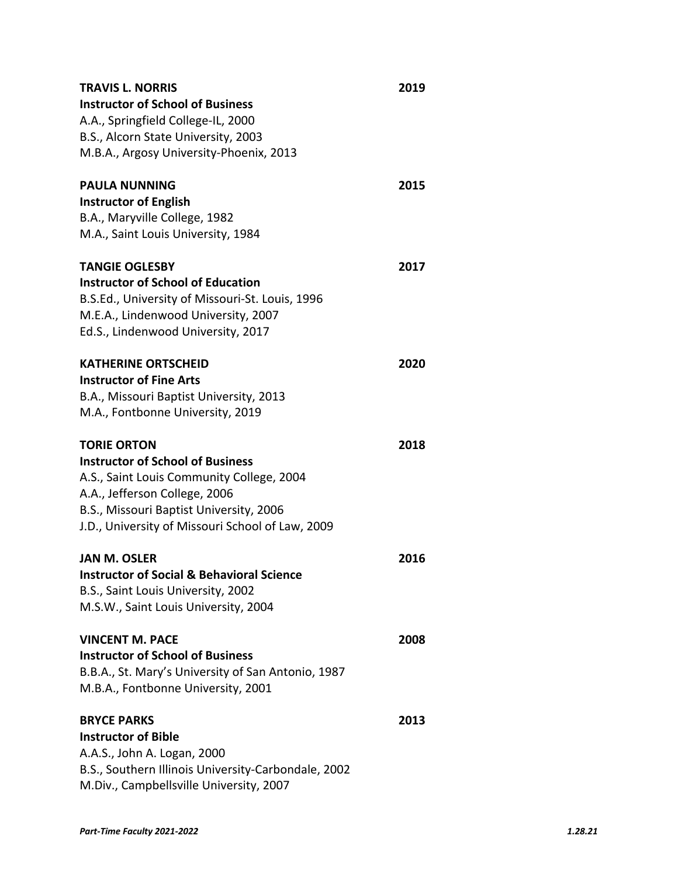| <b>TRAVIS L. NORRIS</b>                              | 2019 |
|------------------------------------------------------|------|
| <b>Instructor of School of Business</b>              |      |
| A.A., Springfield College-IL, 2000                   |      |
| B.S., Alcorn State University, 2003                  |      |
| M.B.A., Argosy University-Phoenix, 2013              |      |
| <b>PAULA NUNNING</b>                                 | 2015 |
| <b>Instructor of English</b>                         |      |
| B.A., Maryville College, 1982                        |      |
| M.A., Saint Louis University, 1984                   |      |
| <b>TANGIE OGLESBY</b>                                | 2017 |
| <b>Instructor of School of Education</b>             |      |
| B.S.Ed., University of Missouri-St. Louis, 1996      |      |
| M.E.A., Lindenwood University, 2007                  |      |
| Ed.S., Lindenwood University, 2017                   |      |
| <b>KATHERINE ORTSCHEID</b>                           | 2020 |
| <b>Instructor of Fine Arts</b>                       |      |
| B.A., Missouri Baptist University, 2013              |      |
| M.A., Fontbonne University, 2019                     |      |
| <b>TORIE ORTON</b>                                   | 2018 |
| <b>Instructor of School of Business</b>              |      |
| A.S., Saint Louis Community College, 2004            |      |
| A.A., Jefferson College, 2006                        |      |
| B.S., Missouri Baptist University, 2006              |      |
| J.D., University of Missouri School of Law, 2009     |      |
| <b>JAN M. OSLER</b>                                  | 2016 |
| <b>Instructor of Social &amp; Behavioral Science</b> |      |
| B.S., Saint Louis University, 2002                   |      |
| M.S.W., Saint Louis University, 2004                 |      |
| VINCENT M. PACE                                      | 2008 |
| <b>Instructor of School of Business</b>              |      |
| B.B.A., St. Mary's University of San Antonio, 1987   |      |
| M.B.A., Fontbonne University, 2001                   |      |
| <b>BRYCE PARKS</b>                                   | 2013 |
| <b>Instructor of Bible</b>                           |      |
| A.A.S., John A. Logan, 2000                          |      |
| B.S., Southern Illinois University-Carbondale, 2002  |      |
| M.Div., Campbellsville University, 2007              |      |
|                                                      |      |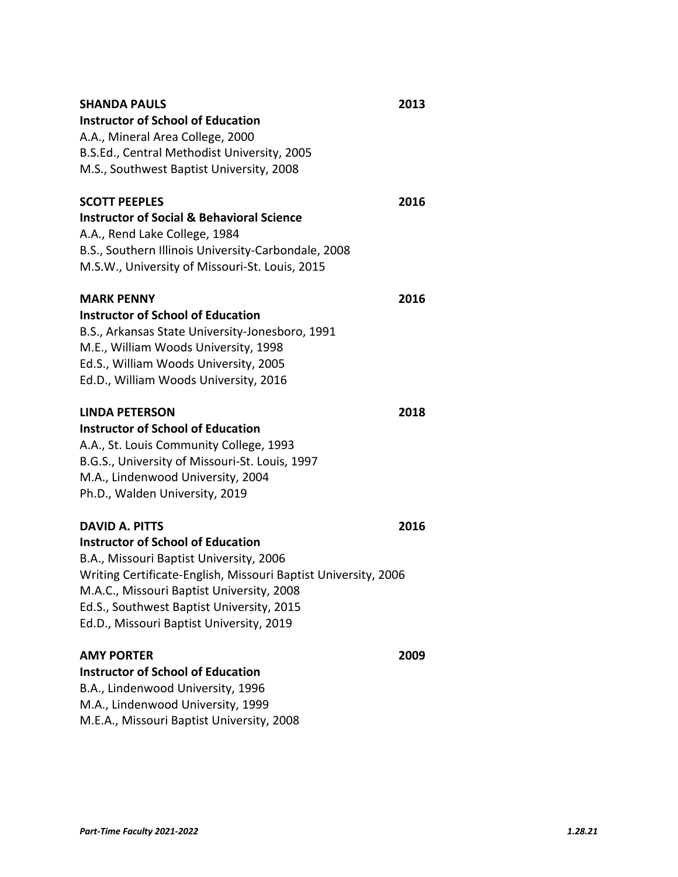| <b>SHANDA PAULS</b>                                            | 2013 |
|----------------------------------------------------------------|------|
| <b>Instructor of School of Education</b>                       |      |
| A.A., Mineral Area College, 2000                               |      |
| B.S.Ed., Central Methodist University, 2005                    |      |
| M.S., Southwest Baptist University, 2008                       |      |
| <b>SCOTT PEEPLES</b>                                           | 2016 |
| <b>Instructor of Social &amp; Behavioral Science</b>           |      |
| A.A., Rend Lake College, 1984                                  |      |
| B.S., Southern Illinois University-Carbondale, 2008            |      |
| M.S.W., University of Missouri-St. Louis, 2015                 |      |
| <b>MARK PENNY</b>                                              | 2016 |
| <b>Instructor of School of Education</b>                       |      |
| B.S., Arkansas State University-Jonesboro, 1991                |      |
| M.E., William Woods University, 1998                           |      |
| Ed.S., William Woods University, 2005                          |      |
| Ed.D., William Woods University, 2016                          |      |
| <b>LINDA PETERSON</b>                                          | 2018 |
| <b>Instructor of School of Education</b>                       |      |
| A.A., St. Louis Community College, 1993                        |      |
| B.G.S., University of Missouri-St. Louis, 1997                 |      |
| M.A., Lindenwood University, 2004                              |      |
| Ph.D., Walden University, 2019                                 |      |
| <b>DAVID A. PITTS</b>                                          | 2016 |
| <b>Instructor of School of Education</b>                       |      |
| B.A., Missouri Baptist University, 2006                        |      |
| Writing Certificate-English, Missouri Baptist University, 2006 |      |
| M.A.C., Missouri Baptist University, 2008                      |      |
| Ed.S., Southwest Baptist University, 2015                      |      |
| Ed.D., Missouri Baptist University, 2019                       |      |
| <b>AMY PORTER</b>                                              | 2009 |
| <b>Instructor of School of Education</b>                       |      |
| B.A., Lindenwood University, 1996                              |      |
| M.A., Lindenwood University, 1999                              |      |
| M.E.A., Missouri Baptist University, 2008                      |      |

*Part‐Time Faculty 2021‐2022 1.28.21*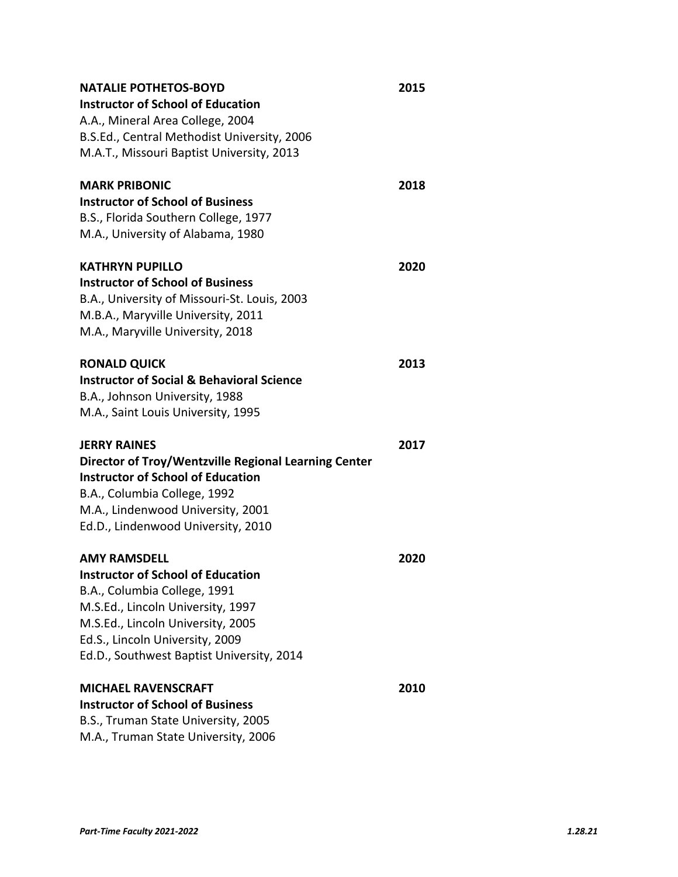| <b>NATALIE POTHETOS-BOYD</b>                         | 2015 |
|------------------------------------------------------|------|
| <b>Instructor of School of Education</b>             |      |
| A.A., Mineral Area College, 2004                     |      |
| B.S.Ed., Central Methodist University, 2006          |      |
| M.A.T., Missouri Baptist University, 2013            |      |
| <b>MARK PRIBONIC</b>                                 | 2018 |
| <b>Instructor of School of Business</b>              |      |
| B.S., Florida Southern College, 1977                 |      |
| M.A., University of Alabama, 1980                    |      |
| <b>KATHRYN PUPILLO</b>                               | 2020 |
| <b>Instructor of School of Business</b>              |      |
| B.A., University of Missouri-St. Louis, 2003         |      |
| M.B.A., Maryville University, 2011                   |      |
| M.A., Maryville University, 2018                     |      |
| <b>RONALD QUICK</b>                                  | 2013 |
| <b>Instructor of Social &amp; Behavioral Science</b> |      |
| B.A., Johnson University, 1988                       |      |
| M.A., Saint Louis University, 1995                   |      |
| <b>JERRY RAINES</b>                                  | 2017 |
| Director of Troy/Wentzville Regional Learning Center |      |
| <b>Instructor of School of Education</b>             |      |
| B.A., Columbia College, 1992                         |      |
| M.A., Lindenwood University, 2001                    |      |
| Ed.D., Lindenwood University, 2010                   |      |
| AMY RAMSDELL                                         | 2020 |
| <b>Instructor of School of Education</b>             |      |
| B.A., Columbia College, 1991                         |      |
| M.S.Ed., Lincoln University, 1997                    |      |
| M.S.Ed., Lincoln University, 2005                    |      |
| Ed.S., Lincoln University, 2009                      |      |
| Ed.D., Southwest Baptist University, 2014            |      |
| <b>MICHAEL RAVENSCRAFT</b>                           | 2010 |
| <b>Instructor of School of Business</b>              |      |
| B.S., Truman State University, 2005                  |      |
| M.A., Truman State University, 2006                  |      |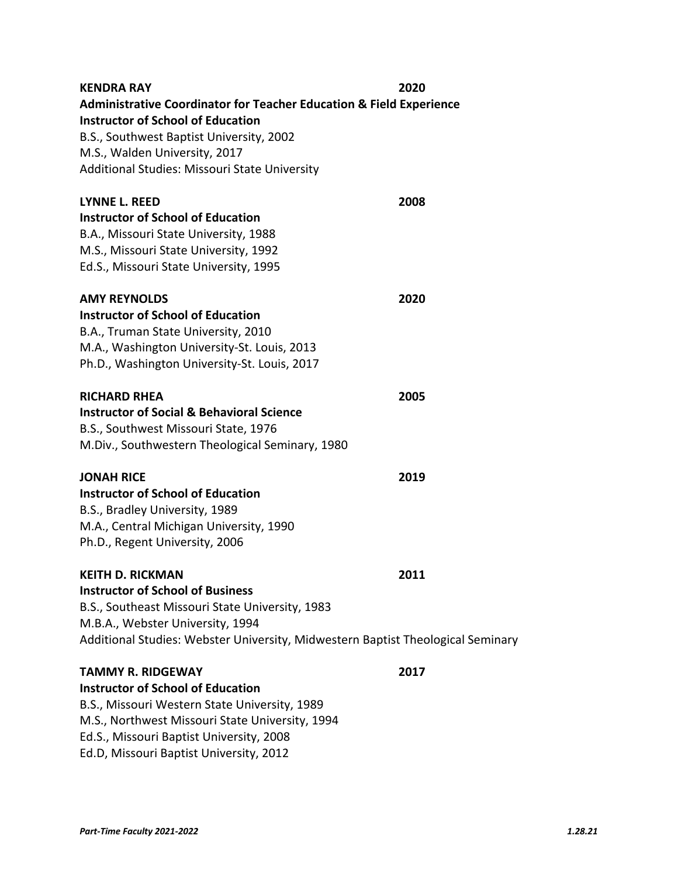| <b>KENDRA RAY</b>                                                               | 2020 |
|---------------------------------------------------------------------------------|------|
| <b>Administrative Coordinator for Teacher Education &amp; Field Experience</b>  |      |
| <b>Instructor of School of Education</b>                                        |      |
| B.S., Southwest Baptist University, 2002                                        |      |
| M.S., Walden University, 2017                                                   |      |
| Additional Studies: Missouri State University                                   |      |
| LYNNE L. REED                                                                   | 2008 |
| <b>Instructor of School of Education</b>                                        |      |
| B.A., Missouri State University, 1988                                           |      |
| M.S., Missouri State University, 1992                                           |      |
| Ed.S., Missouri State University, 1995                                          |      |
| <b>AMY REYNOLDS</b>                                                             | 2020 |
| <b>Instructor of School of Education</b>                                        |      |
| B.A., Truman State University, 2010                                             |      |
| M.A., Washington University-St. Louis, 2013                                     |      |
| Ph.D., Washington University-St. Louis, 2017                                    |      |
| <b>RICHARD RHEA</b>                                                             | 2005 |
| <b>Instructor of Social &amp; Behavioral Science</b>                            |      |
| B.S., Southwest Missouri State, 1976                                            |      |
| M.Div., Southwestern Theological Seminary, 1980                                 |      |
| <b>JONAH RICE</b>                                                               | 2019 |
| <b>Instructor of School of Education</b>                                        |      |
| B.S., Bradley University, 1989                                                  |      |
| M.A., Central Michigan University, 1990                                         |      |
| Ph.D., Regent University, 2006                                                  |      |
| <b>KEITH D. RICKMAN</b>                                                         | 2011 |
| <b>Instructor of School of Business</b>                                         |      |
| B.S., Southeast Missouri State University, 1983                                 |      |
| M.B.A., Webster University, 1994                                                |      |
| Additional Studies: Webster University, Midwestern Baptist Theological Seminary |      |
| <b>TAMMY R. RIDGEWAY</b>                                                        | 2017 |
| <b>Instructor of School of Education</b>                                        |      |
| B.S., Missouri Western State University, 1989                                   |      |
| M.S., Northwest Missouri State University, 1994                                 |      |
| Ed.S., Missouri Baptist University, 2008                                        |      |
| Ed.D, Missouri Baptist University, 2012                                         |      |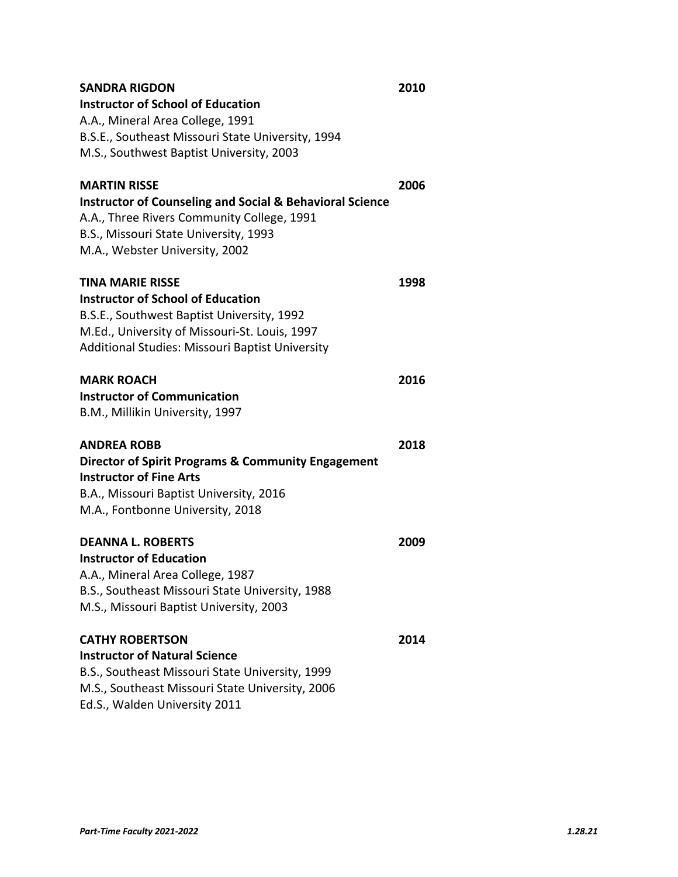| <b>SANDRA RIGDON</b>                                                | 2010 |
|---------------------------------------------------------------------|------|
| <b>Instructor of School of Education</b>                            |      |
| A.A., Mineral Area College, 1991                                    |      |
| B.S.E., Southeast Missouri State University, 1994                   |      |
| M.S., Southwest Baptist University, 2003                            |      |
| <b>MARTIN RISSE</b>                                                 | 2006 |
| <b>Instructor of Counseling and Social &amp; Behavioral Science</b> |      |
| A.A., Three Rivers Community College, 1991                          |      |
| B.S., Missouri State University, 1993                               |      |
| M.A., Webster University, 2002                                      |      |
| TINA MARIE RISSE                                                    | 1998 |
| <b>Instructor of School of Education</b>                            |      |
| B.S.E., Southwest Baptist University, 1992                          |      |
| M.Ed., University of Missouri-St. Louis, 1997                       |      |
| Additional Studies: Missouri Baptist University                     |      |
| <b>MARK ROACH</b>                                                   | 2016 |
| <b>Instructor of Communication</b>                                  |      |
| B.M., Millikin University, 1997                                     |      |
| <b>ANDREA ROBB</b>                                                  | 2018 |
| <b>Director of Spirit Programs &amp; Community Engagement</b>       |      |
| <b>Instructor of Fine Arts</b>                                      |      |
| B.A., Missouri Baptist University, 2016                             |      |
| M.A., Fontbonne University, 2018                                    |      |
| <b>DEANNA L. ROBERTS</b>                                            | 2009 |
| <b>Instructor of Education</b>                                      |      |
| A.A., Mineral Area College, 1987                                    |      |
| B.S., Southeast Missouri State University, 1988                     |      |
| M.S., Missouri Baptist University, 2003                             |      |
| <b>CATHY ROBERTSON</b>                                              | 2014 |
| <b>Instructor of Natural Science</b>                                |      |
| B.S., Southeast Missouri State University, 1999                     |      |
| M.S., Southeast Missouri State University, 2006                     |      |
| Ed.S., Walden University 2011                                       |      |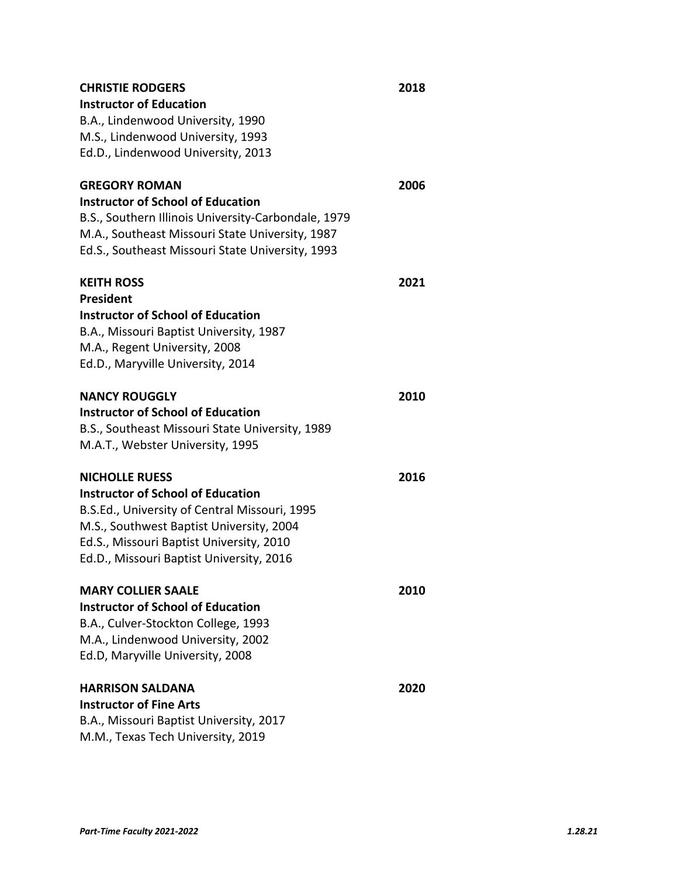| <b>CHRISTIE RODGERS</b>                                                              | 2018 |
|--------------------------------------------------------------------------------------|------|
| <b>Instructor of Education</b>                                                       |      |
| B.A., Lindenwood University, 1990                                                    |      |
| M.S., Lindenwood University, 1993                                                    |      |
| Ed.D., Lindenwood University, 2013                                                   |      |
|                                                                                      |      |
| <b>GREGORY ROMAN</b>                                                                 | 2006 |
| <b>Instructor of School of Education</b>                                             |      |
| B.S., Southern Illinois University-Carbondale, 1979                                  |      |
| M.A., Southeast Missouri State University, 1987                                      |      |
| Ed.S., Southeast Missouri State University, 1993                                     |      |
| <b>KEITH ROSS</b>                                                                    | 2021 |
| <b>President</b>                                                                     |      |
| <b>Instructor of School of Education</b>                                             |      |
| B.A., Missouri Baptist University, 1987                                              |      |
| M.A., Regent University, 2008                                                        |      |
| Ed.D., Maryville University, 2014                                                    |      |
|                                                                                      |      |
| <b>NANCY ROUGGLY</b>                                                                 | 2010 |
| <b>Instructor of School of Education</b>                                             |      |
| B.S., Southeast Missouri State University, 1989                                      |      |
| M.A.T., Webster University, 1995                                                     |      |
|                                                                                      |      |
| <b>NICHOLLE RUESS</b>                                                                | 2016 |
| <b>Instructor of School of Education</b>                                             |      |
| B.S.Ed., University of Central Missouri, 1995                                        |      |
| M.S., Southwest Baptist University, 2004<br>Ed.S., Missouri Baptist University, 2010 |      |
| Ed.D., Missouri Baptist University, 2016                                             |      |
|                                                                                      |      |
| <b>MARY COLLIER SAALE</b>                                                            | 2010 |
| <b>Instructor of School of Education</b>                                             |      |
| B.A., Culver-Stockton College, 1993                                                  |      |
| M.A., Lindenwood University, 2002                                                    |      |
| Ed.D, Maryville University, 2008                                                     |      |
|                                                                                      |      |
| <b>HARRISON SALDANA</b>                                                              | 2020 |
| <b>Instructor of Fine Arts</b>                                                       |      |
| B.A., Missouri Baptist University, 2017                                              |      |
| M.M., Texas Tech University, 2019                                                    |      |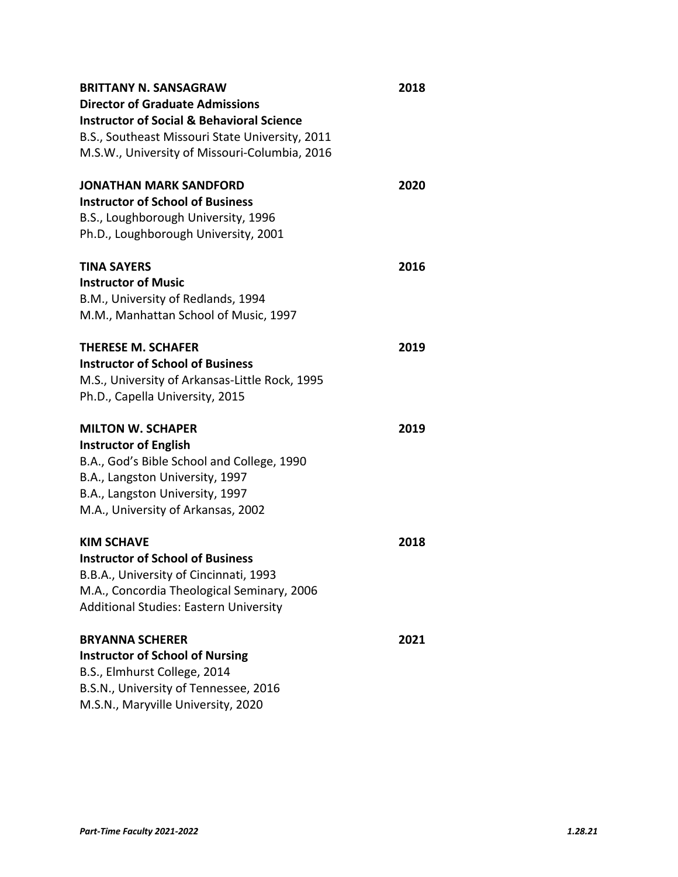| <b>BRITTANY N. SANSAGRAW</b>                                                         | 2018 |
|--------------------------------------------------------------------------------------|------|
| <b>Director of Graduate Admissions</b>                                               |      |
| <b>Instructor of Social &amp; Behavioral Science</b>                                 |      |
| B.S., Southeast Missouri State University, 2011                                      |      |
| M.S.W., University of Missouri-Columbia, 2016                                        |      |
| <b>JONATHAN MARK SANDFORD</b>                                                        | 2020 |
| <b>Instructor of School of Business</b>                                              |      |
| B.S., Loughborough University, 1996                                                  |      |
| Ph.D., Loughborough University, 2001                                                 |      |
| <b>TINA SAYERS</b>                                                                   | 2016 |
| <b>Instructor of Music</b>                                                           |      |
| B.M., University of Redlands, 1994                                                   |      |
| M.M., Manhattan School of Music, 1997                                                |      |
| <b>THERESE M. SCHAFER</b>                                                            | 2019 |
| <b>Instructor of School of Business</b>                                              |      |
| M.S., University of Arkansas-Little Rock, 1995                                       |      |
| Ph.D., Capella University, 2015                                                      |      |
| <b>MILTON W. SCHAPER</b>                                                             | 2019 |
| <b>Instructor of English</b>                                                         |      |
| B.A., God's Bible School and College, 1990                                           |      |
| B.A., Langston University, 1997                                                      |      |
| B.A., Langston University, 1997                                                      |      |
| M.A., University of Arkansas, 2002                                                   |      |
| <b>KIM SCHAVE</b>                                                                    | 2018 |
| <b>Instructor of School of Business</b>                                              |      |
| B.B.A., University of Cincinnati, 1993<br>M.A., Concordia Theological Seminary, 2006 |      |
| <b>Additional Studies: Eastern University</b>                                        |      |
|                                                                                      |      |
| <b>BRYANNA SCHERER</b>                                                               | 2021 |
| <b>Instructor of School of Nursing</b>                                               |      |
| B.S., Elmhurst College, 2014                                                         |      |
| B.S.N., University of Tennessee, 2016<br>M.S.N., Maryville University, 2020          |      |
|                                                                                      |      |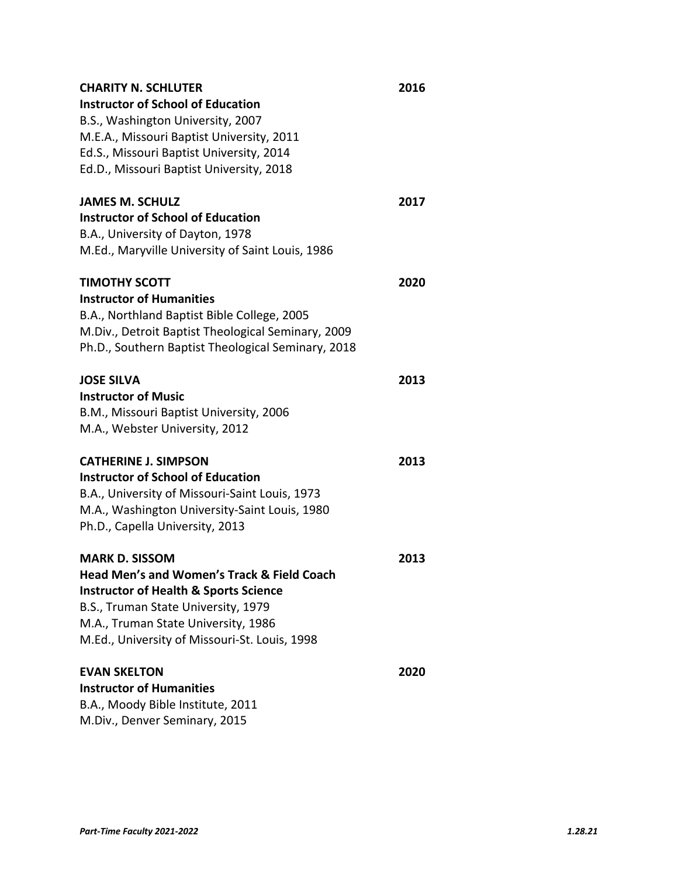| <b>CHARITY N. SCHLUTER</b>                         | 2016 |
|----------------------------------------------------|------|
| <b>Instructor of School of Education</b>           |      |
| B.S., Washington University, 2007                  |      |
| M.E.A., Missouri Baptist University, 2011          |      |
| Ed.S., Missouri Baptist University, 2014           |      |
| Ed.D., Missouri Baptist University, 2018           |      |
| <b>JAMES M. SCHULZ</b>                             | 2017 |
| <b>Instructor of School of Education</b>           |      |
| B.A., University of Dayton, 1978                   |      |
| M.Ed., Maryville University of Saint Louis, 1986   |      |
| TIMOTHY SCOTT                                      | 2020 |
| <b>Instructor of Humanities</b>                    |      |
| B.A., Northland Baptist Bible College, 2005        |      |
| M.Div., Detroit Baptist Theological Seminary, 2009 |      |
| Ph.D., Southern Baptist Theological Seminary, 2018 |      |
| <b>JOSE SILVA</b>                                  | 2013 |
| <b>Instructor of Music</b>                         |      |
| B.M., Missouri Baptist University, 2006            |      |
| M.A., Webster University, 2012                     |      |
| <b>CATHERINE J. SIMPSON</b>                        | 2013 |
| <b>Instructor of School of Education</b>           |      |
| B.A., University of Missouri-Saint Louis, 1973     |      |
| M.A., Washington University-Saint Louis, 1980      |      |
| Ph.D., Capella University, 2013                    |      |
| <b>MARK D. SISSOM</b>                              | 2013 |
| Head Men's and Women's Track & Field Coach         |      |
| <b>Instructor of Health &amp; Sports Science</b>   |      |
| B.S., Truman State University, 1979                |      |
| M.A., Truman State University, 1986                |      |
| M.Ed., University of Missouri-St. Louis, 1998      |      |
| <b>EVAN SKELTON</b>                                | 2020 |
| <b>Instructor of Humanities</b>                    |      |
| B.A., Moody Bible Institute, 2011                  |      |
| M.Div., Denver Seminary, 2015                      |      |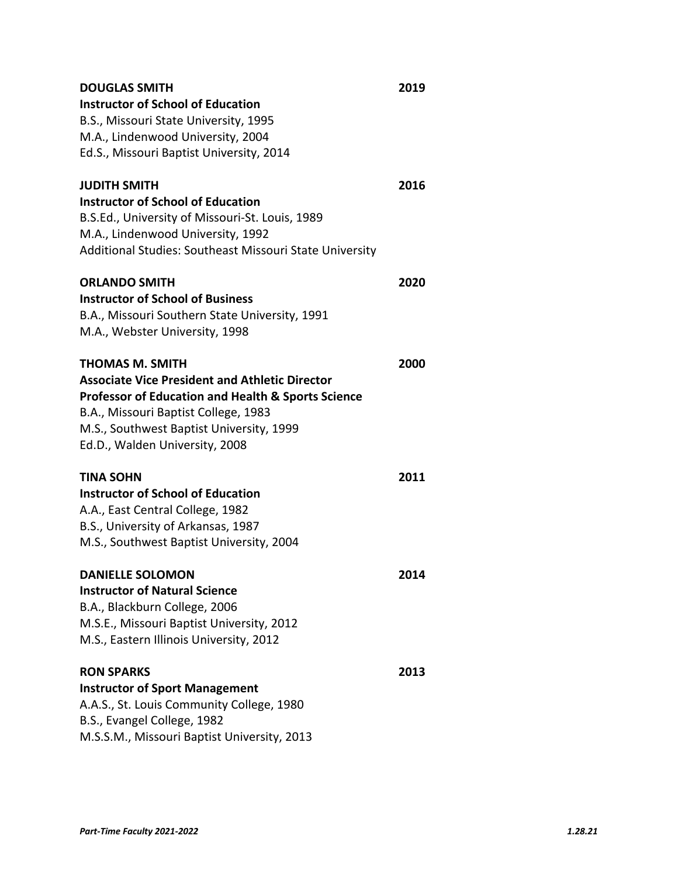| <b>DOUGLAS SMITH</b><br><b>Instructor of School of Education</b> | 2019 |
|------------------------------------------------------------------|------|
| B.S., Missouri State University, 1995                            |      |
| M.A., Lindenwood University, 2004                                |      |
| Ed.S., Missouri Baptist University, 2014                         |      |
|                                                                  |      |
| <b>JUDITH SMITH</b>                                              | 2016 |
| <b>Instructor of School of Education</b>                         |      |
| B.S.Ed., University of Missouri-St. Louis, 1989                  |      |
| M.A., Lindenwood University, 1992                                |      |
| Additional Studies: Southeast Missouri State University          |      |
| <b>ORLANDO SMITH</b>                                             | 2020 |
| <b>Instructor of School of Business</b>                          |      |
| B.A., Missouri Southern State University, 1991                   |      |
| M.A., Webster University, 1998                                   |      |
|                                                                  |      |
| <b>THOMAS M. SMITH</b>                                           | 2000 |
| <b>Associate Vice President and Athletic Director</b>            |      |
| <b>Professor of Education and Health &amp; Sports Science</b>    |      |
| B.A., Missouri Baptist College, 1983                             |      |
| M.S., Southwest Baptist University, 1999                         |      |
| Ed.D., Walden University, 2008                                   |      |
| <b>TINA SOHN</b>                                                 | 2011 |
| <b>Instructor of School of Education</b>                         |      |
| A.A., East Central College, 1982                                 |      |
| B.S., University of Arkansas, 1987                               |      |
| M.S., Southwest Baptist University, 2004                         |      |
| <b>DANIFLLF SOLOMON</b>                                          | 2014 |
| <b>Instructor of Natural Science</b>                             |      |
| B.A., Blackburn College, 2006                                    |      |
| M.S.E., Missouri Baptist University, 2012                        |      |
| M.S., Eastern Illinois University, 2012                          |      |
| <b>RON SPARKS</b>                                                | 2013 |
| <b>Instructor of Sport Management</b>                            |      |
| A.A.S., St. Louis Community College, 1980                        |      |
| B.S., Evangel College, 1982                                      |      |
| M.S.S.M., Missouri Baptist University, 2013                      |      |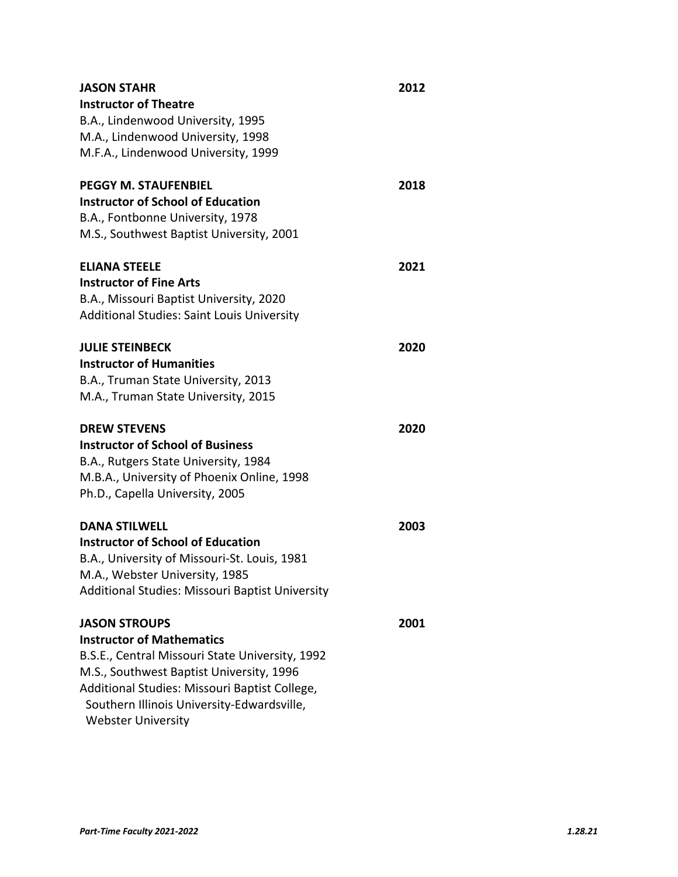| <b>JASON STAHR</b>                                | 2012 |
|---------------------------------------------------|------|
| <b>Instructor of Theatre</b>                      |      |
| B.A., Lindenwood University, 1995                 |      |
| M.A., Lindenwood University, 1998                 |      |
| M.F.A., Lindenwood University, 1999               |      |
| <b>PEGGY M. STAUFENBIEL</b>                       | 2018 |
| <b>Instructor of School of Education</b>          |      |
| B.A., Fontbonne University, 1978                  |      |
| M.S., Southwest Baptist University, 2001          |      |
| <b>ELIANA STEELE</b>                              | 2021 |
| <b>Instructor of Fine Arts</b>                    |      |
| B.A., Missouri Baptist University, 2020           |      |
| <b>Additional Studies: Saint Louis University</b> |      |
| <b>JULIE STEINBECK</b>                            | 2020 |
| <b>Instructor of Humanities</b>                   |      |
| B.A., Truman State University, 2013               |      |
| M.A., Truman State University, 2015               |      |
| <b>DREW STEVENS</b>                               | 2020 |
| <b>Instructor of School of Business</b>           |      |
| B.A., Rutgers State University, 1984              |      |
| M.B.A., University of Phoenix Online, 1998        |      |
| Ph.D., Capella University, 2005                   |      |
| <b>DANA STILWELL</b>                              | 2003 |
| <b>Instructor of School of Education</b>          |      |
| B.A., University of Missouri-St. Louis, 1981      |      |
| M.A., Webster University, 1985                    |      |
| Additional Studies: Missouri Baptist University   |      |
| <b>JASON STROUPS</b>                              | 2001 |
| <b>Instructor of Mathematics</b>                  |      |
| B.S.E., Central Missouri State University, 1992   |      |
| M.S., Southwest Baptist University, 1996          |      |
| Additional Studies: Missouri Baptist College,     |      |
| Southern Illinois University-Edwardsville,        |      |
| <b>Webster University</b>                         |      |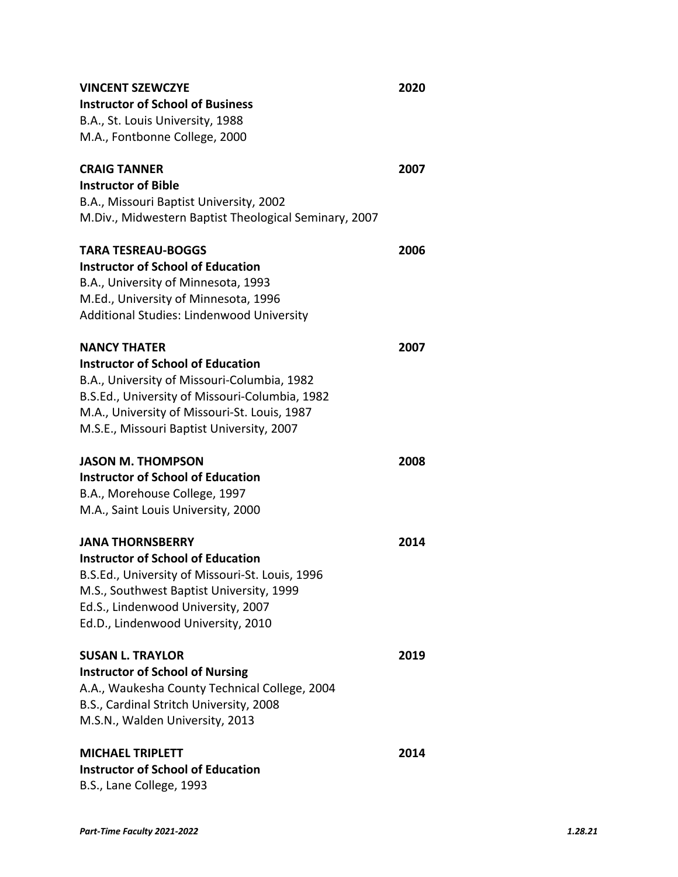| <b>VINCENT SZEWCZYE</b>                               | 2020 |
|-------------------------------------------------------|------|
| <b>Instructor of School of Business</b>               |      |
| B.A., St. Louis University, 1988                      |      |
| M.A., Fontbonne College, 2000                         |      |
| <b>CRAIG TANNER</b>                                   | 2007 |
| <b>Instructor of Bible</b>                            |      |
| B.A., Missouri Baptist University, 2002               |      |
| M.Div., Midwestern Baptist Theological Seminary, 2007 |      |
| <b>TARA TESREAU-BOGGS</b>                             | 2006 |
| <b>Instructor of School of Education</b>              |      |
| B.A., University of Minnesota, 1993                   |      |
| M.Ed., University of Minnesota, 1996                  |      |
| Additional Studies: Lindenwood University             |      |
| <b>NANCY THATER</b>                                   | 2007 |
| <b>Instructor of School of Education</b>              |      |
| B.A., University of Missouri-Columbia, 1982           |      |
| B.S.Ed., University of Missouri-Columbia, 1982        |      |
| M.A., University of Missouri-St. Louis, 1987          |      |
| M.S.E., Missouri Baptist University, 2007             |      |
| <b>JASON M. THOMPSON</b>                              | 2008 |
| <b>Instructor of School of Education</b>              |      |
| B.A., Morehouse College, 1997                         |      |
| M.A., Saint Louis University, 2000                    |      |
| <b>JANA THORNSBERRY</b>                               | 2014 |
| <b>Instructor of School of Education</b>              |      |
| B.S.Ed., University of Missouri-St. Louis, 1996       |      |
| M.S., Southwest Baptist University, 1999              |      |
| Ed.S., Lindenwood University, 2007                    |      |
| Ed.D., Lindenwood University, 2010                    |      |
| <b>SUSAN L. TRAYLOR</b>                               | 2019 |
| <b>Instructor of School of Nursing</b>                |      |
| A.A., Waukesha County Technical College, 2004         |      |
| B.S., Cardinal Stritch University, 2008               |      |
| M.S.N., Walden University, 2013                       |      |
| <b>MICHAEL TRIPLETT</b>                               | 2014 |
| <b>Instructor of School of Education</b>              |      |
| B.S., Lane College, 1993                              |      |
|                                                       |      |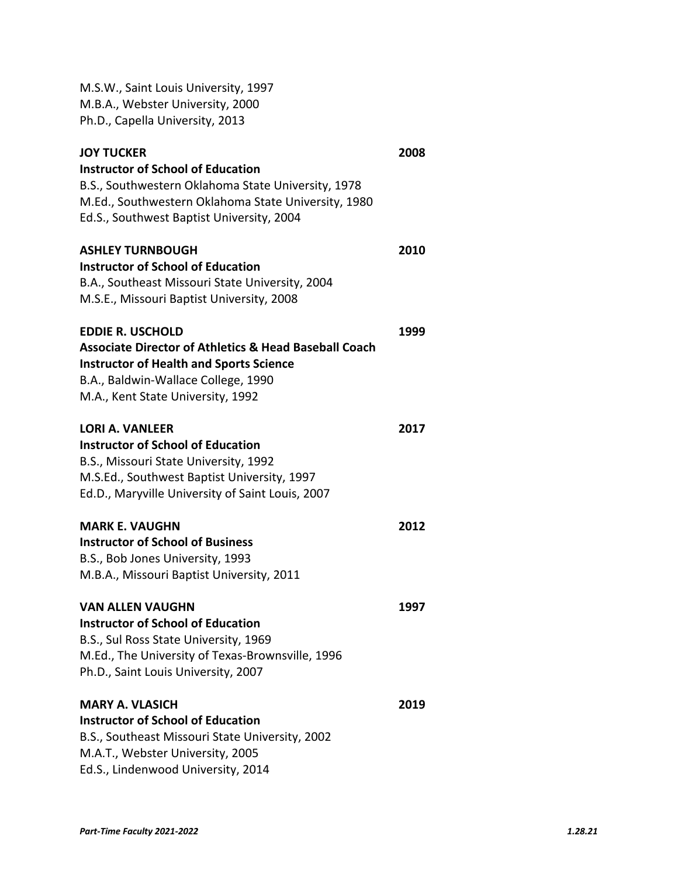| M.S.W., Saint Louis University, 1997<br>M.B.A., Webster University, 2000<br>Ph.D., Capella University, 2013                                                                                                               |      |
|---------------------------------------------------------------------------------------------------------------------------------------------------------------------------------------------------------------------------|------|
| <b>JOY TUCKER</b><br><b>Instructor of School of Education</b><br>B.S., Southwestern Oklahoma State University, 1978<br>M.Ed., Southwestern Oklahoma State University, 1980<br>Ed.S., Southwest Baptist University, 2004   | 2008 |
| <b>ASHLEY TURNBOUGH</b><br>Instructor of School of Education<br>B.A., Southeast Missouri State University, 2004<br>M.S.E., Missouri Baptist University, 2008                                                              | 2010 |
| <b>EDDIE R. USCHOLD</b><br><b>Associate Director of Athletics &amp; Head Baseball Coach</b><br><b>Instructor of Health and Sports Science</b><br>B.A., Baldwin-Wallace College, 1990<br>M.A., Kent State University, 1992 | 1999 |
| <b>LORI A. VANLEER</b><br><b>Instructor of School of Education</b><br>B.S., Missouri State University, 1992<br>M.S.Ed., Southwest Baptist University, 1997<br>Ed.D., Maryville University of Saint Louis, 2007            | 2017 |
| <b>MARK E. VAUGHN</b><br><b>Instructor of School of Business</b><br>B.S., Bob Jones University, 1993<br>M.B.A., Missouri Baptist University, 2011                                                                         | 2012 |
| <b>VAN ALLEN VAUGHN</b><br><b>Instructor of School of Education</b><br>B.S., Sul Ross State University, 1969<br>M.Ed., The University of Texas-Brownsville, 1996<br>Ph.D., Saint Louis University, 2007                   | 1997 |
| <b>MARY A. VLASICH</b><br><b>Instructor of School of Education</b><br>B.S., Southeast Missouri State University, 2002<br>M.A.T., Webster University, 2005<br>Ed.S., Lindenwood University, 2014                           | 2019 |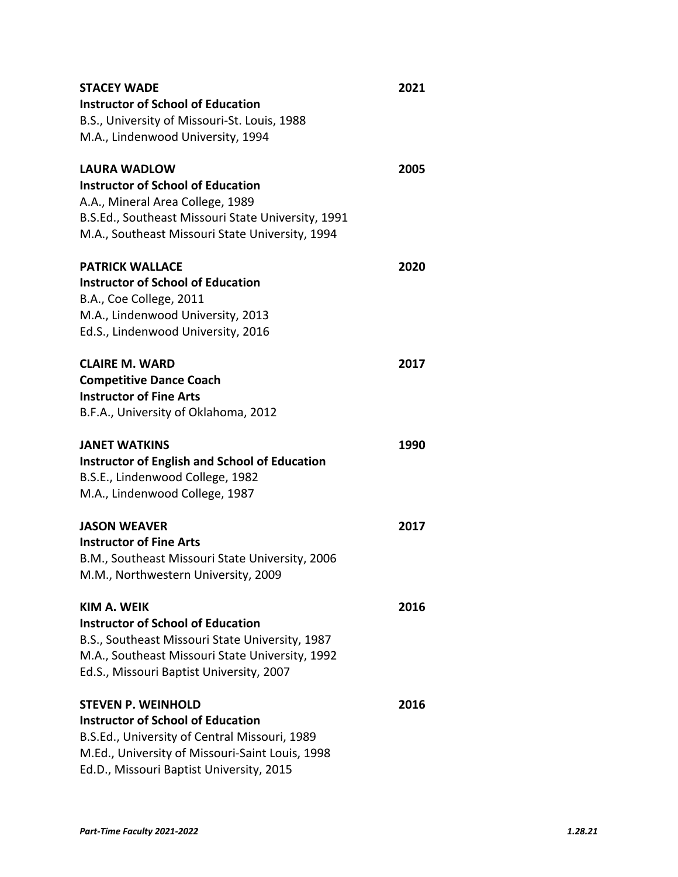| <b>STACEY WADE</b>                                   | 2021 |
|------------------------------------------------------|------|
| <b>Instructor of School of Education</b>             |      |
| B.S., University of Missouri-St. Louis, 1988         |      |
| M.A., Lindenwood University, 1994                    |      |
| <b>LAURA WADLOW</b>                                  | 2005 |
| <b>Instructor of School of Education</b>             |      |
| A.A., Mineral Area College, 1989                     |      |
| B.S.Ed., Southeast Missouri State University, 1991   |      |
| M.A., Southeast Missouri State University, 1994      |      |
| <b>PATRICK WALLACE</b>                               | 2020 |
| <b>Instructor of School of Education</b>             |      |
| B.A., Coe College, 2011                              |      |
| M.A., Lindenwood University, 2013                    |      |
| Ed.S., Lindenwood University, 2016                   |      |
| <b>CLAIRE M. WARD</b>                                | 2017 |
| <b>Competitive Dance Coach</b>                       |      |
| <b>Instructor of Fine Arts</b>                       |      |
| B.F.A., University of Oklahoma, 2012                 |      |
| <b>JANET WATKINS</b>                                 | 1990 |
| <b>Instructor of English and School of Education</b> |      |
| B.S.E., Lindenwood College, 1982                     |      |
| M.A., Lindenwood College, 1987                       |      |
| <b>JASON WEAVER</b>                                  | 2017 |
| <b>Instructor of Fine Arts</b>                       |      |
| B.M., Southeast Missouri State University, 2006      |      |
| M.M., Northwestern University, 2009                  |      |
| KIM A. WEIK                                          | 2016 |
| <b>Instructor of School of Education</b>             |      |
| B.S., Southeast Missouri State University, 1987      |      |
| M.A., Southeast Missouri State University, 1992      |      |
| Ed.S., Missouri Baptist University, 2007             |      |
| <b>STEVEN P. WEINHOLD</b>                            | 2016 |
| <b>Instructor of School of Education</b>             |      |
| B.S.Ed., University of Central Missouri, 1989        |      |
| M.Ed., University of Missouri-Saint Louis, 1998      |      |
| Ed.D., Missouri Baptist University, 2015             |      |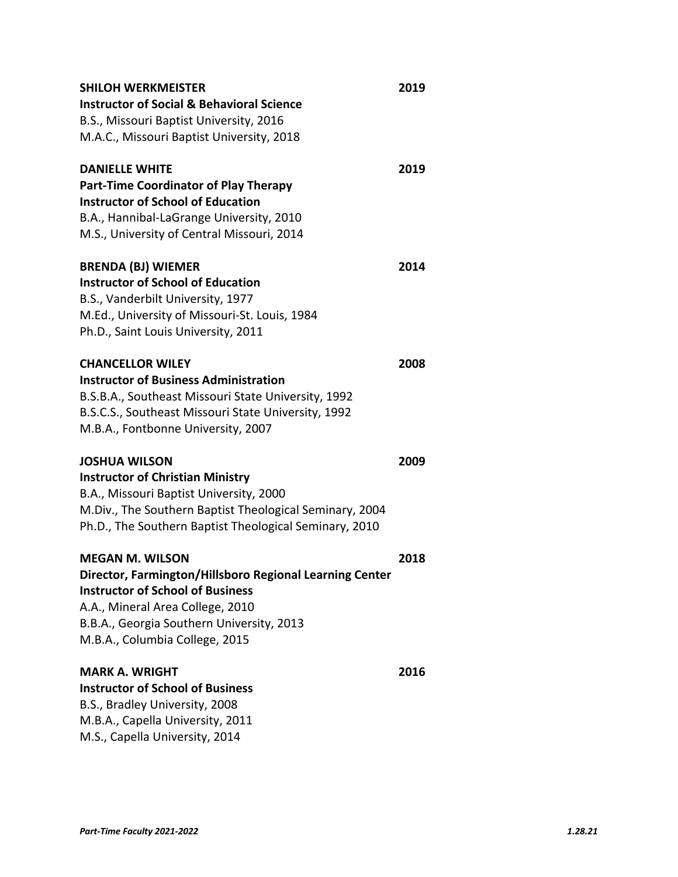| <b>SHILOH WERKMEISTER</b>                               | 2019 |
|---------------------------------------------------------|------|
| <b>Instructor of Social &amp; Behavioral Science</b>    |      |
| B.S., Missouri Baptist University, 2016                 |      |
| M.A.C., Missouri Baptist University, 2018               |      |
| <b>DANIELLE WHITE</b>                                   | 2019 |
| <b>Part-Time Coordinator of Play Therapy</b>            |      |
| <b>Instructor of School of Education</b>                |      |
| B.A., Hannibal-LaGrange University, 2010                |      |
| M.S., University of Central Missouri, 2014              |      |
| <b>BRENDA (BJ) WIEMER</b>                               | 2014 |
| <b>Instructor of School of Education</b>                |      |
| B.S., Vanderbilt University, 1977                       |      |
| M.Ed., University of Missouri-St. Louis, 1984           |      |
| Ph.D., Saint Louis University, 2011                     |      |
| <b>CHANCELLOR WILEY</b>                                 | 2008 |
| <b>Instructor of Business Administration</b>            |      |
| B.S.B.A., Southeast Missouri State University, 1992     |      |
| B.S.C.S., Southeast Missouri State University, 1992     |      |
| M.B.A., Fontbonne University, 2007                      |      |
| JOSHUA WILSON                                           | 2009 |
| <b>Instructor of Christian Ministry</b>                 |      |
| B.A., Missouri Baptist University, 2000                 |      |
| M.Div., The Southern Baptist Theological Seminary, 2004 |      |
| Ph.D., The Southern Baptist Theological Seminary, 2010  |      |
| <b>MEGAN M. WILSON</b>                                  | 2018 |
| Director, Farmington/Hillsboro Regional Learning Center |      |
| <b>Instructor of School of Business</b>                 |      |
| A.A., Mineral Area College, 2010                        |      |
| B.B.A., Georgia Southern University, 2013               |      |
| M.B.A., Columbia College, 2015                          |      |
| <b>MARK A. WRIGHT</b>                                   | 2016 |
| <b>Instructor of School of Business</b>                 |      |
| B.S., Bradley University, 2008                          |      |
| M.B.A., Capella University, 2011                        |      |
| M.S., Capella University, 2014                          |      |